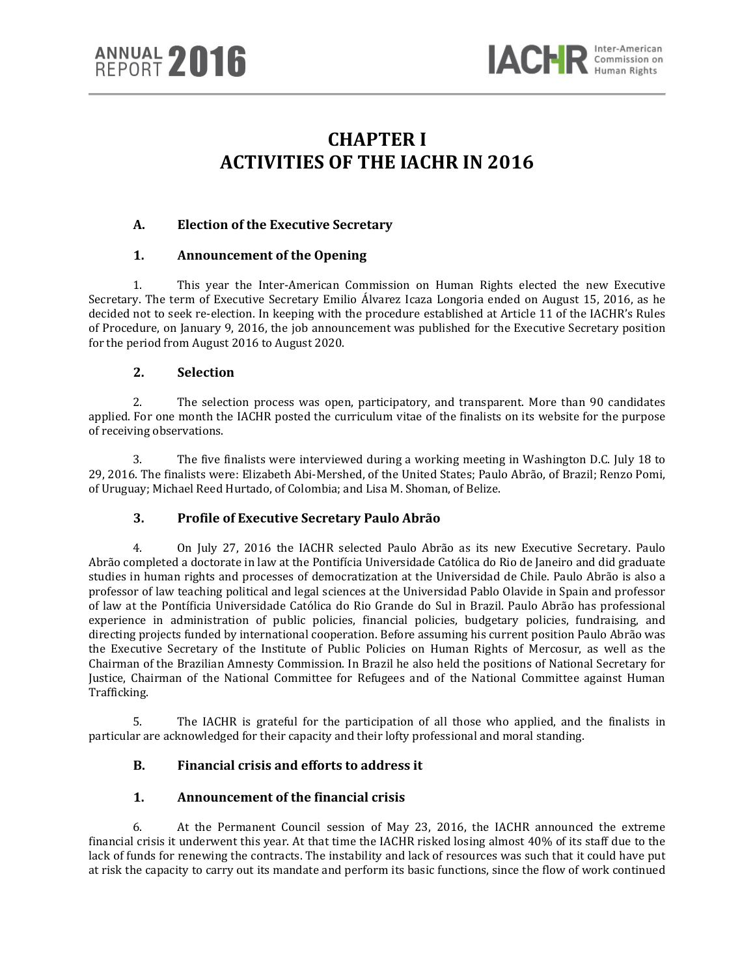



# **CHAPTER I ACTIVITIES OF THE IACHR IN 2016**

# **A. Election of the Executive Secretary**

### **1. Announcement of the Opening**

1. This year the Inter-American Commission on Human Rights elected the new Executive Secretary. The term of Executive Secretary Emilio Álvarez Icaza Longoria ended on August 15, 2016, as he decided not to seek re-election. In keeping with the procedure established at Article 11 of the IACHR's Rules of Procedure, on January 9, 2016, the job announcement was published for the Executive Secretary position for the period from August 2016 to August 2020.

### **2. Selection**

2. The selection process was open, participatory, and transparent. More than 90 candidates applied. For one month the IACHR posted the curriculum vitae of the finalists on its website for the purpose of receiving observations.

3. The five finalists were interviewed during a working meeting in Washington D.C. July 18 to 29, 2016. The finalists were: Elizabeth Abi-Mershed, of the United States; Paulo Abrão, of Brazil; Renzo Pomi, of Uruguay; Michael Reed Hurtado, of Colombia; and Lisa M. Shoman, of Belize.

# **3. Profile of Executive Secretary Paulo Abrão**

4. On July 27, 2016 the IACHR selected Paulo Abrão as its new Executive Secretary. Paulo Abrão completed a doctorate in law at the Pontifícia Universidade Católica do Rio de Janeiro and did graduate studies in human rights and processes of democratization at the Universidad de Chile. Paulo Abrão is also a professor of law teaching political and legal sciences at the Universidad Pablo Olavide in Spain and professor of law at the Pontíficia Universidade Católica do Rio Grande do Sul in Brazil. Paulo Abrão has professional experience in administration of public policies, financial policies, budgetary policies, fundraising, and directing projects funded by international cooperation. Before assuming his current position Paulo Abrão was the Executive Secretary of the Institute of Public Policies on Human Rights of Mercosur, as well as the Chairman of the Brazilian Amnesty Commission. In Brazil he also held the positions of National Secretary for Justice, Chairman of the National Committee for Refugees and of the National Committee against Human Trafficking.

5. The IACHR is grateful for the participation of all those who applied, and the finalists in particular are acknowledged for their capacity and their lofty professional and moral standing.

# **B. Financial crisis and efforts to address it**

### **1. Announcement of the financial crisis**

6. At the Permanent Council session of May 23, 2016, the IACHR announced the extreme financial crisis it underwent this year. At that time the IACHR risked losing almost 40% of its staff due to the lack of funds for renewing the contracts. The instability and lack of resources was such that it could have put at risk the capacity to carry out its mandate and perform its basic functions, since the flow of work continued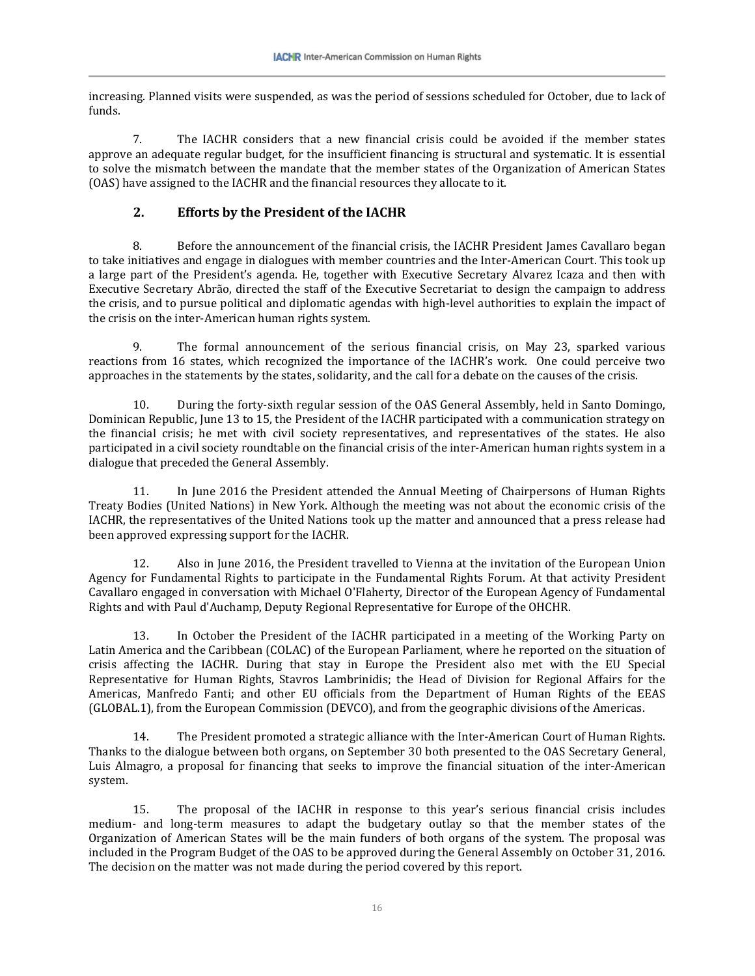increasing. Planned visits were suspended, as was the period of sessions scheduled for October, due to lack of funds.

7. The IACHR considers that a new financial crisis could be avoided if the member states approve an adequate regular budget, for the insufficient financing is structural and systematic. It is essential to solve the mismatch between the mandate that the member states of the Organization of American States (OAS) have assigned to the IACHR and the financial resources they allocate to it.

# **2. Efforts by the President of the IACHR**

8. Before the announcement of the financial crisis, the IACHR President James Cavallaro began to take initiatives and engage in dialogues with member countries and the Inter-American Court. This took up a large part of the President's agenda. He, together with Executive Secretary Alvarez Icaza and then with Executive Secretary Abrão, directed the staff of the Executive Secretariat to design the campaign to address the crisis, and to pursue political and diplomatic agendas with high-level authorities to explain the impact of the crisis on the inter-American human rights system.

9. The formal announcement of the serious financial crisis, on May 23, sparked various reactions from 16 states, which recognized the importance of the IACHR's work. One could perceive two approaches in the statements by the states, solidarity, and the call for a debate on the causes of the crisis.

10. During the forty-sixth regular session of the OAS General Assembly, held in Santo Domingo, Dominican Republic, June 13 to 15, the President of the IACHR participated with a communication strategy on the financial crisis; he met with civil society representatives, and representatives of the states. He also participated in a civil society roundtable on the financial crisis of the inter-American human rights system in a dialogue that preceded the General Assembly.

11. In June 2016 the President attended the Annual Meeting of Chairpersons of Human Rights Treaty Bodies (United Nations) in New York. Although the meeting was not about the economic crisis of the IACHR, the representatives of the United Nations took up the matter and announced that a press release had been approved expressing support for the IACHR.

12. Also in June 2016, the President travelled to Vienna at the invitation of the European Union Agency for Fundamental Rights to participate in the Fundamental Rights Forum. At that activity President Cavallaro engaged in conversation with Michael O'Flaherty, Director of the European Agency of Fundamental Rights and with Paul d'Auchamp, Deputy Regional Representative for Europe of the OHCHR.

13. In October the President of the IACHR participated in a meeting of the Working Party on Latin America and the Caribbean (COLAC) of the European Parliament, where he reported on the situation of crisis affecting the IACHR. During that stay in Europe the President also met with the EU Special Representative for Human Rights, Stavros Lambrinidis; the Head of Division for Regional Affairs for the Americas, Manfredo Fanti; and other EU officials from the Department of Human Rights of the EEAS (GLOBAL.1), from the European Commission (DEVCO), and from the geographic divisions of the Americas.

14. The President promoted a strategic alliance with the Inter-American Court of Human Rights. Thanks to the dialogue between both organs, on September 30 both presented to the OAS Secretary General, Luis Almagro, a proposal for financing that seeks to improve the financial situation of the inter-American system.

15. The proposal of the IACHR in response to this year's serious financial crisis includes medium- and long-term measures to adapt the budgetary outlay so that the member states of the Organization of American States will be the main funders of both organs of the system. The proposal was included in the Program Budget of the OAS to be approved during the General Assembly on October 31, 2016. The decision on the matter was not made during the period covered by this report.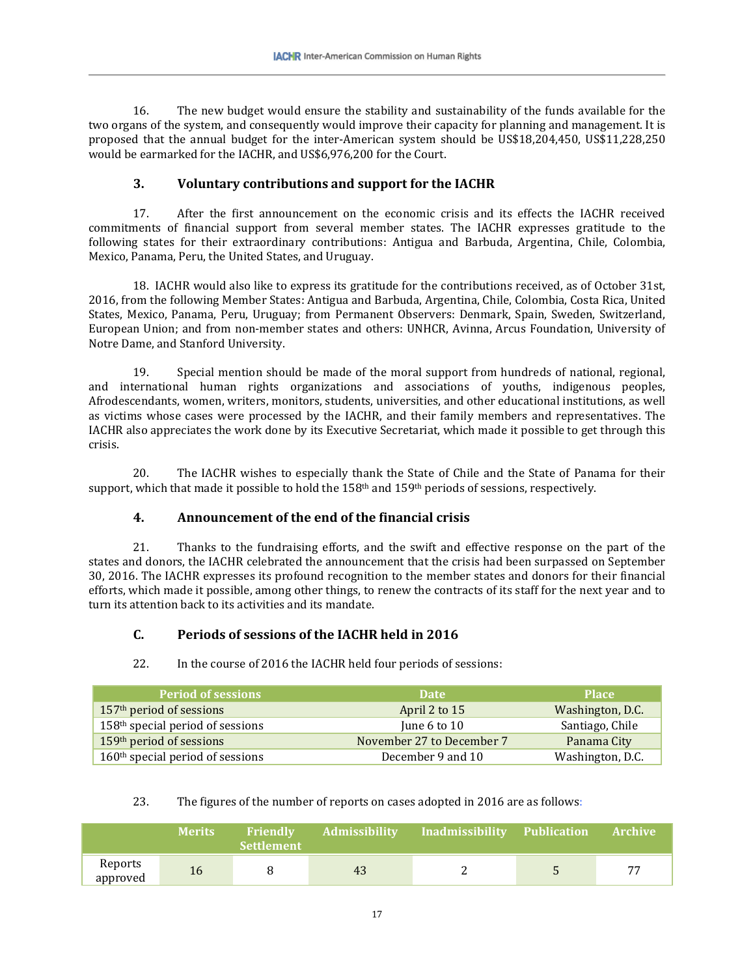16. The new budget would ensure the stability and sustainability of the funds available for the two organs of the system, and consequently would improve their capacity for planning and management. It is proposed that the annual budget for the inter-American system should be US\$18,204,450, US\$11,228,250 would be earmarked for the IACHR, and US\$6,976,200 for the Court.

# **3. Voluntary contributions and support for the IACHR**

17. After the first announcement on the economic crisis and its effects the IACHR received commitments of financial support from several member states. The IACHR expresses gratitude to the following states for their extraordinary contributions: Antigua and Barbuda, Argentina, Chile, Colombia, Mexico, Panama, Peru, the United States, and Uruguay.

18. IACHR would also like to express its gratitude for the contributions received, as of October 31st, 2016, from the following Member States: Antigua and Barbuda, Argentina, Chile, Colombia, Costa Rica, United States, Mexico, Panama, Peru, Uruguay; from Permanent Observers: Denmark, Spain, Sweden, Switzerland, European Union; and from non-member states and others: UNHCR, Avinna, Arcus Foundation, University of Notre Dame, and Stanford University.

19. Special mention should be made of the moral support from hundreds of national, regional, and international human rights organizations and associations of youths, indigenous peoples, Afrodescendants, women, writers, monitors, students, universities, and other educational institutions, as well as victims whose cases were processed by the IACHR, and their family members and representatives. The IACHR also appreciates the work done by its Executive Secretariat, which made it possible to get through this crisis.

20. The IACHR wishes to especially thank the State of Chile and the State of Panama for their support, which that made it possible to hold the  $158<sup>th</sup>$  and  $159<sup>th</sup>$  periods of sessions, respectively.

# **4. Announcement of the end of the financial crisis**

21. Thanks to the fundraising efforts, and the swift and effective response on the part of the states and donors, the IACHR celebrated the announcement that the crisis had been surpassed on September 30, 2016. The IACHR expresses its profound recognition to the member states and donors for their financial efforts, which made it possible, among other things, to renew the contracts of its staff for the next year and to turn its attention back to its activities and its mandate.

# **C. Periods of sessions of the IACHR held in 2016**

# 22. In the course of 2016 the IACHR held four periods of sessions:

| <b>Period of sessions</b>            | <b>Date</b>               | <b>Place</b>     |
|--------------------------------------|---------------------------|------------------|
| 157 <sup>th</sup> period of sessions | April 2 to 15             | Washington, D.C. |
| $158th$ special period of sessions   | June 6 to 10              | Santiago, Chile  |
| 159 <sup>th</sup> period of sessions | November 27 to December 7 | Panama City      |
| $160th$ special period of sessions   | December 9 and 10         | Washington, D.C. |

### 23. The figures of the number of reports on cases adopted in 2016 are as follows:

|                     | <b>Merits</b> | Friendly<br><b>Settlement</b> | <b>Admissibility</b> | Inadmissibility Publication | <b>Archive</b> |
|---------------------|---------------|-------------------------------|----------------------|-----------------------------|----------------|
| Reports<br>approved | 16            |                               | 43                   |                             | 77             |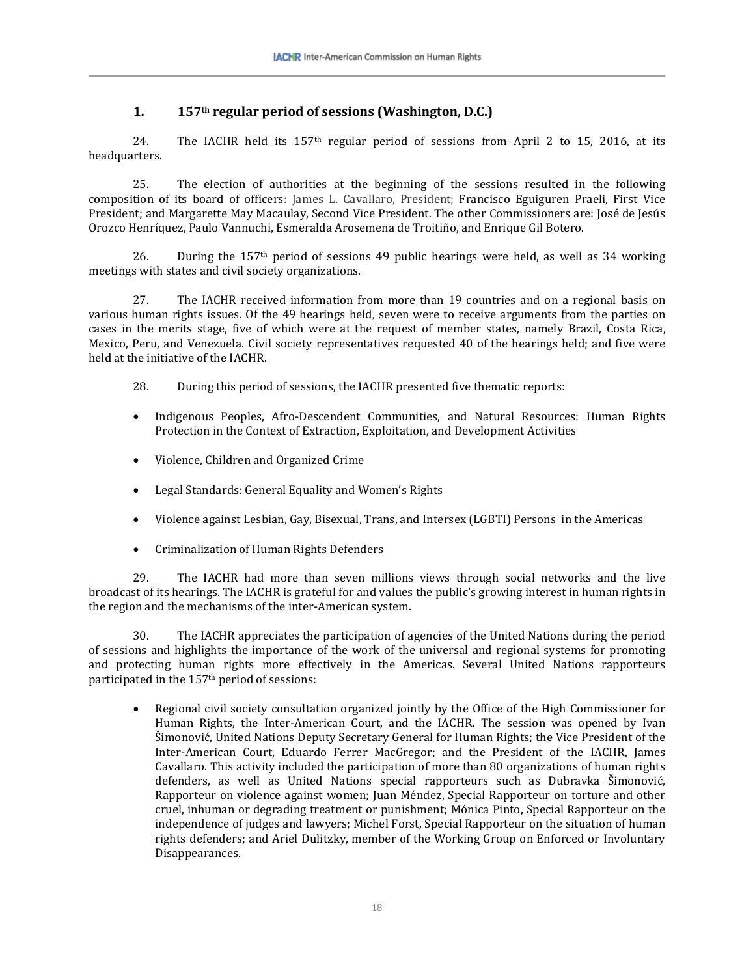# **1. 157th regular period of sessions (Washington, D.C.)**

24. The IACHR held its 157th regular period of sessions from April 2 to 15, 2016, at its headquarters.

25. The election of authorities at the beginning of the sessions resulted in the following composition of its board of officers: James L. Cavallaro, President; Francisco Eguiguren Praeli, First Vice President; and Margarette May Macaulay, Second Vice President. The other Commissioners are: José de Jesús Orozco Henríquez, Paulo Vannuchi, Esmeralda Arosemena de Troitiño, and Enrique Gil Botero.

26. During the 157<sup>th</sup> period of sessions 49 public hearings were held, as well as 34 working meetings with states and civil society organizations.

27. The IACHR received information from more than 19 countries and on a regional basis on various human rights issues. Of the 49 hearings held, seven were to receive arguments from the parties on cases in the merits stage, five of which were at the request of member states, namely Brazil, Costa Rica, Mexico, Peru, and Venezuela. Civil society representatives requested 40 of the hearings held; and five were held at the initiative of the IACHR.

- 28. During this period of sessions, the IACHR presented five thematic reports:
- Indigenous Peoples, Afro-Descendent Communities, and Natural Resources: Human Rights Protection in the Context of Extraction, Exploitation, and Development Activities
- Violence, Children and Organized Crime
- Legal Standards: General Equality and Women's Rights
- Violence against Lesbian, Gay, Bisexual, Trans, and Intersex (LGBTI) Persons in the Americas
- Criminalization of Human Rights Defenders

29. The IACHR had more than seven millions views through social networks and the live broadcast of its hearings. The IACHR is grateful for and values the public's growing interest in human rights in the region and the mechanisms of the inter-American system.

30. The IACHR appreciates the participation of agencies of the United Nations during the period of sessions and highlights the importance of the work of the universal and regional systems for promoting and protecting human rights more effectively in the Americas. Several United Nations rapporteurs participated in the 157th period of sessions:

• Regional civil society consultation organized jointly by the Office of the High Commissioner for Human Rights, the Inter-American Court, and the IACHR. The session was opened by Ivan Šimonović, United Nations Deputy Secretary General for Human Rights; the Vice President of the Inter-American Court, Eduardo Ferrer MacGregor; and the President of the IACHR, James Cavallaro. This activity included the participation of more than 80 organizations of human rights defenders, as well as United Nations special rapporteurs such as Dubravka Šimonović, Rapporteur on violence against women; Juan Méndez, Special Rapporteur on torture and other cruel, inhuman or degrading treatment or punishment; Mónica Pinto, Special Rapporteur on the independence of judges and lawyers; Michel Forst, Special Rapporteur on the situation of human rights defenders; and Ariel Dulitzky, member of the Working Group on Enforced or Involuntary Disappearances.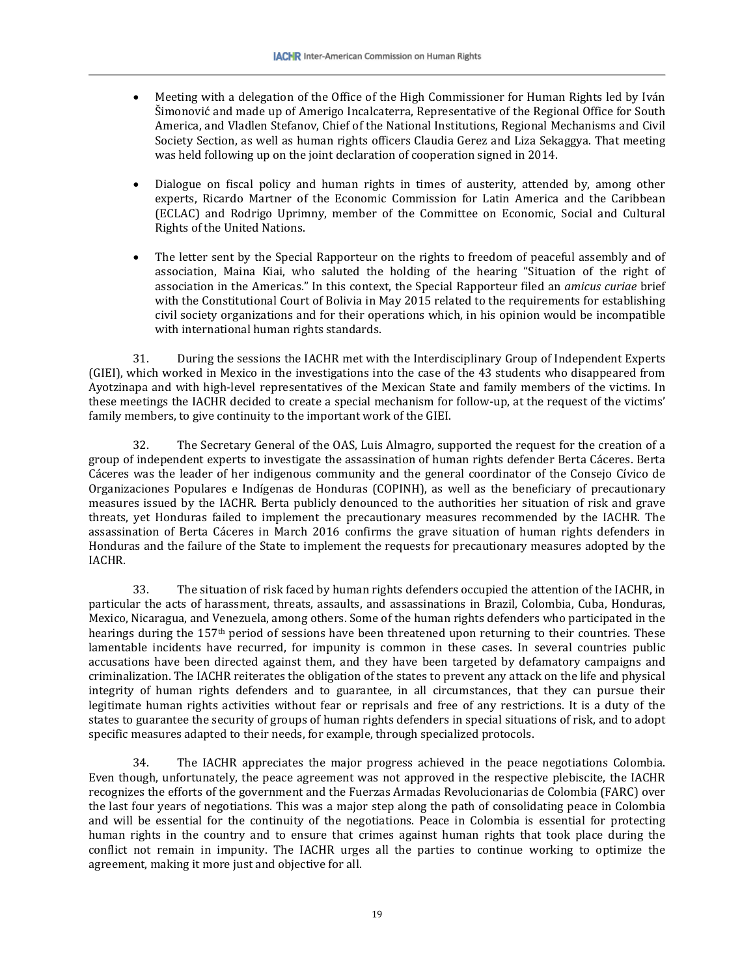- Meeting with a delegation of the Office of the High Commissioner for Human Rights led by Iván Šimonović and made up of Amerigo Incalcaterra, Representative of the Regional Office for South America, and Vladlen Stefanov, Chief of the National Institutions, Regional Mechanisms and Civil Society Section, as well as human rights officers Claudia Gerez and Liza Sekaggya. That meeting was held following up on the joint declaration of cooperation signed in 2014.
- Dialogue on fiscal policy and human rights in times of austerity, attended by, among other experts, Ricardo Martner of the Economic Commission for Latin America and the Caribbean (ECLAC) and Rodrigo Uprimny, member of the Committee on Economic, Social and Cultural Rights of the United Nations.
- The letter sent by the Special Rapporteur on the rights to freedom of peaceful assembly and of association, Maina Kiai, who saluted the holding of the hearing "Situation of the right of association in the Americas." In this context, the Special Rapporteur filed an *amicus curiae* brief with the Constitutional Court of Bolivia in May 2015 related to the requirements for establishing civil society organizations and for their operations which, in his opinion would be incompatible with international human rights standards.

31. During the sessions the IACHR met with the Interdisciplinary Group of Independent Experts (GIEI), which worked in Mexico in the investigations into the case of the 43 students who disappeared from Ayotzinapa and with high-level representatives of the Mexican State and family members of the victims. In these meetings the IACHR decided to create a special mechanism for follow-up, at the request of the victims' family members, to give continuity to the important work of the GIEI.

32. The Secretary General of the OAS, Luis Almagro, supported the request for the creation of a group of independent experts to investigate the assassination of human rights defender Berta Cáceres. Berta Cáceres was the leader of her indigenous community and the general coordinator of the Consejo Cívico de Organizaciones Populares e Indígenas de Honduras (COPINH), as well as the beneficiary of precautionary measures issued by the IACHR. Berta publicly denounced to the authorities her situation of risk and grave threats, yet Honduras failed to implement the precautionary measures recommended by the IACHR. The assassination of Berta Cáceres in March 2016 confirms the grave situation of human rights defenders in Honduras and the failure of the State to implement the requests for precautionary measures adopted by the IACHR.

33. The situation of risk faced by human rights defenders occupied the attention of the IACHR, in particular the acts of harassment, threats, assaults, and assassinations in Brazil, Colombia, Cuba, Honduras, Mexico, Nicaragua, and Venezuela, among others. Some of the human rights defenders who participated in the hearings during the 157th period of sessions have been threatened upon returning to their countries. These lamentable incidents have recurred, for impunity is common in these cases. In several countries public accusations have been directed against them, and they have been targeted by defamatory campaigns and criminalization. The IACHR reiterates the obligation of the states to prevent any attack on the life and physical integrity of human rights defenders and to guarantee, in all circumstances, that they can pursue their legitimate human rights activities without fear or reprisals and free of any restrictions. It is a duty of the states to guarantee the security of groups of human rights defenders in special situations of risk, and to adopt specific measures adapted to their needs, for example, through specialized protocols.

34. The IACHR appreciates the major progress achieved in the peace negotiations Colombia. Even though, unfortunately, the peace agreement was not approved in the respective plebiscite, the IACHR recognizes the efforts of the government and the Fuerzas Armadas Revolucionarias de Colombia (FARC) over the last four years of negotiations. This was a major step along the path of consolidating peace in Colombia and will be essential for the continuity of the negotiations. Peace in Colombia is essential for protecting human rights in the country and to ensure that crimes against human rights that took place during the conflict not remain in impunity. The IACHR urges all the parties to continue working to optimize the agreement, making it more just and objective for all.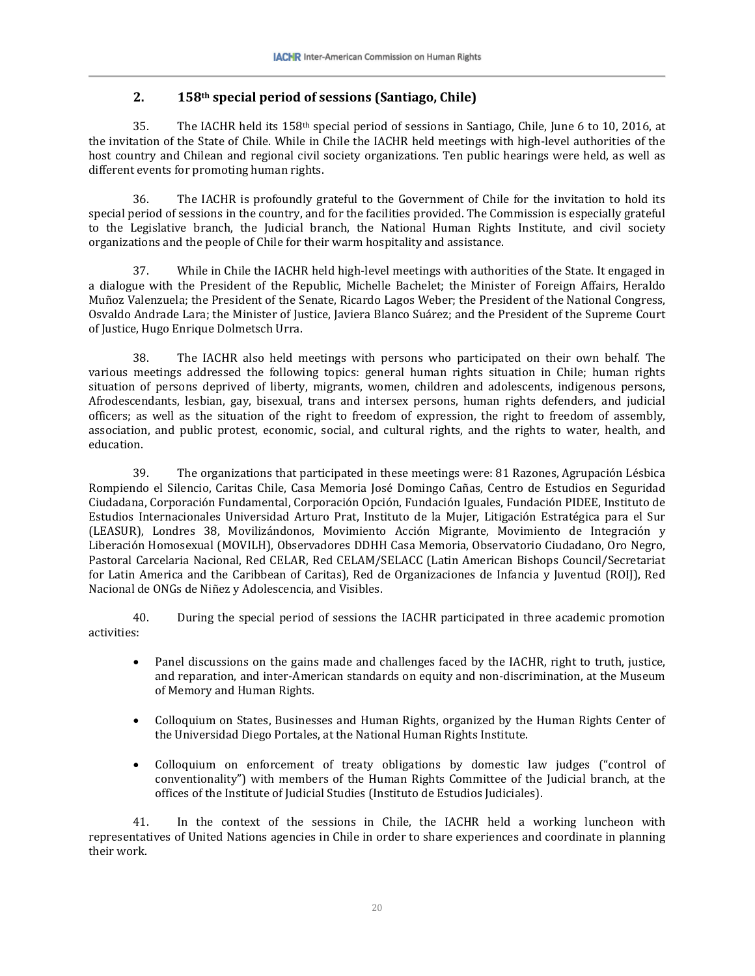# **2. 158th special period of sessions (Santiago, Chile)**

35. The IACHR held its  $158<sup>th</sup>$  special period of sessions in Santiago, Chile, June 6 to 10, 2016, at the invitation of the State of Chile. While in Chile the IACHR held meetings with high-level authorities of the host country and Chilean and regional civil society organizations. Ten public hearings were held, as well as different events for promoting human rights.

36. The IACHR is profoundly grateful to the Government of Chile for the invitation to hold its special period of sessions in the country, and for the facilities provided. The Commission is especially grateful to the Legislative branch, the Judicial branch, the National Human Rights Institute, and civil society organizations and the people of Chile for their warm hospitality and assistance.

37. While in Chile the IACHR held high-level meetings with authorities of the State. It engaged in a dialogue with the President of the Republic, Michelle Bachelet; the Minister of Foreign Affairs, Heraldo Muñoz Valenzuela; the President of the Senate, Ricardo Lagos Weber; the President of the National Congress, Osvaldo Andrade Lara; the Minister of Justice, Javiera Blanco Suárez; and the President of the Supreme Court of Justice, Hugo Enrique Dolmetsch Urra.

38. The IACHR also held meetings with persons who participated on their own behalf. The various meetings addressed the following topics: general human rights situation in Chile; human rights situation of persons deprived of liberty, migrants, women, children and adolescents, indigenous persons, Afrodescendants, lesbian, gay, bisexual, trans and intersex persons, human rights defenders, and judicial officers; as well as the situation of the right to freedom of expression, the right to freedom of assembly, association, and public protest, economic, social, and cultural rights, and the rights to water, health, and education.

39. The organizations that participated in these meetings were: 81 Razones, Agrupación Lésbica Rompiendo el Silencio, Caritas Chile, Casa Memoria José Domingo Cañas, Centro de Estudios en Seguridad Ciudadana, Corporación Fundamental, Corporación Opción, Fundación Iguales, Fundación PIDEE, Instituto de Estudios Internacionales Universidad Arturo Prat, Instituto de la Mujer, Litigación Estratégica para el Sur (LEASUR), Londres 38, Movilizándonos, Movimiento Acción Migrante, Movimiento de Integración y Liberación Homosexual (MOVILH), Observadores DDHH Casa Memoria, Observatorio Ciudadano, Oro Negro, Pastoral Carcelaria Nacional, Red CELAR, Red CELAM/SELACC (Latin American Bishops Council/Secretariat for Latin America and the Caribbean of Caritas), Red de Organizaciones de Infancia y Juventud (ROIJ), Red Nacional de ONGs de Niñez y Adolescencia, and Visibles.

40. During the special period of sessions the IACHR participated in three academic promotion activities:

- Panel discussions on the gains made and challenges faced by the IACHR, right to truth, justice, and reparation, and inter-American standards on equity and non-discrimination, at the Museum of Memory and Human Rights.
- Colloquium on States, Businesses and Human Rights, organized by the Human Rights Center of the Universidad Diego Portales, at the National Human Rights Institute.
- Colloquium on enforcement of treaty obligations by domestic law judges ("control of conventionality") with members of the Human Rights Committee of the Judicial branch, at the offices of the Institute of Judicial Studies (Instituto de Estudios Judiciales).

41. In the context of the sessions in Chile, the IACHR held a working luncheon with representatives of United Nations agencies in Chile in order to share experiences and coordinate in planning their work.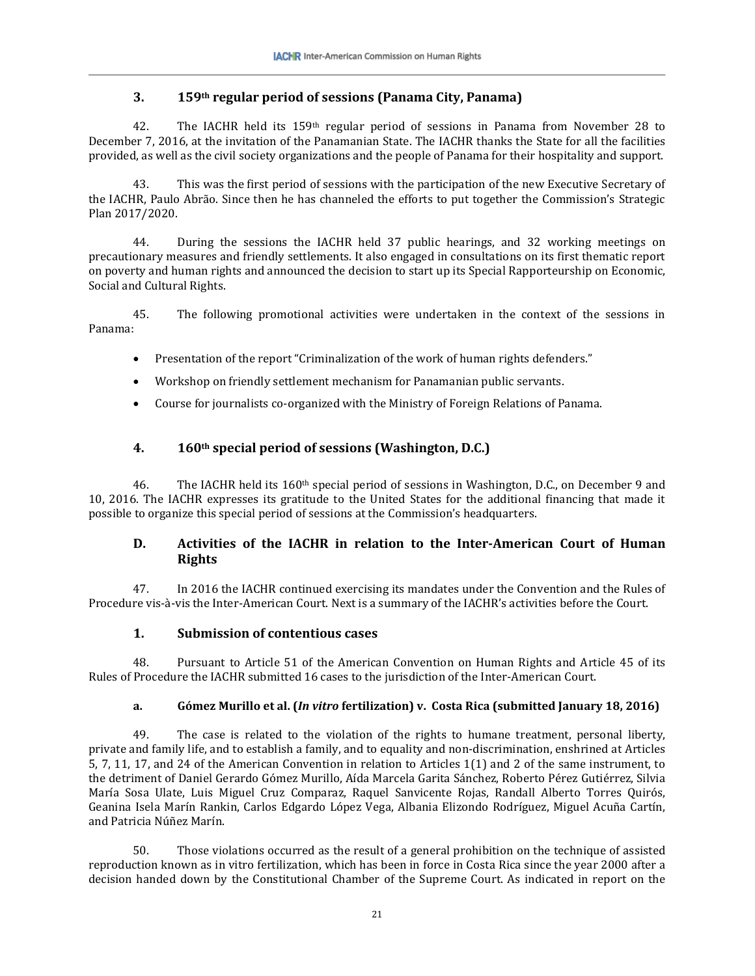# **3. 159th regular period of sessions (Panama City, Panama)**

42. The IACHR held its 159th regular period of sessions in Panama from November 28 to December 7, 2016, at the invitation of the Panamanian State. The IACHR thanks the State for all the facilities provided, as well as the civil society organizations and the people of Panama for their hospitality and support.

43. This was the first period of sessions with the participation of the new Executive Secretary of the IACHR, Paulo Abrão. Since then he has channeled the efforts to put together the Commission's Strategic Plan 2017/2020.

44. During the sessions the IACHR held 37 public hearings, and 32 working meetings on precautionary measures and friendly settlements. It also engaged in consultations on its first thematic report on poverty and human rights and announced the decision to start up its Special Rapporteurship on Economic, Social and Cultural Rights.

45. The following promotional activities were undertaken in the context of the sessions in Panama:

- Presentation of the report "Criminalization of the work of human rights defenders."
- Workshop on friendly settlement mechanism for Panamanian public servants.
- Course for journalists co-organized with the Ministry of Foreign Relations of Panama.

# **4. 160th special period of sessions (Washington, D.C.)**

46. The IACHR held its  $160<sup>th</sup>$  special period of sessions in Washington, D.C., on December 9 and 10, 2016. The IACHR expresses its gratitude to the United States for the additional financing that made it possible to organize this special period of sessions at the Commission's headquarters.

# **D. Activities of the IACHR in relation to the Inter-American Court of Human Rights**

47. In 2016 the IACHR continued exercising its mandates under the Convention and the Rules of Procedure vis-à-vis the Inter-American Court. Next is a summary of the IACHR's activities before the Court.

# **1. Submission of contentious cases**

48. Pursuant to Article 51 of the American Convention on Human Rights and Article 45 of its Rules of Procedure the IACHR submitted 16 cases to the jurisdiction of the Inter-American Court.

# **a. Gómez Murillo et al. (***In vitro* **fertilization) v. Costa Rica (submitted January 18, 2016)**

49. The case is related to the violation of the rights to humane treatment, personal liberty, private and family life, and to establish a family, and to equality and non-discrimination, enshrined at Articles 5, 7, 11, 17, and 24 of the American Convention in relation to Articles 1(1) and 2 of the same instrument, to the detriment of Daniel Gerardo Gómez Murillo, Aída Marcela Garita Sánchez, Roberto Pérez Gutiérrez, Silvia María Sosa Ulate, Luis Miguel Cruz Comparaz, Raquel Sanvicente Rojas, Randall Alberto Torres Quirós, Geanina Isela Marín Rankin, Carlos Edgardo López Vega, Albania Elizondo Rodríguez, Miguel Acuña Cartín, and Patricia Núñez Marín.

50. Those violations occurred as the result of a general prohibition on the technique of assisted reproduction known as in vitro fertilization, which has been in force in Costa Rica since the year 2000 after a decision handed down by the Constitutional Chamber of the Supreme Court. As indicated in report on the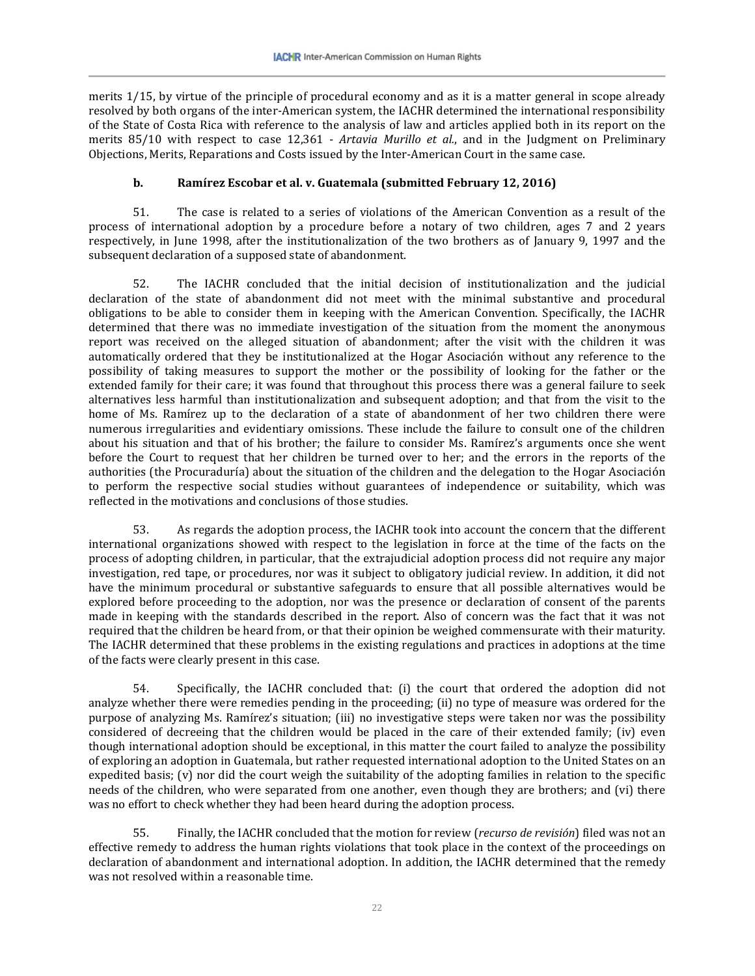merits 1/15, by virtue of the principle of procedural economy and as it is a matter general in scope already resolved by both organs of the inter-American system, the IACHR determined the international responsibility of the State of Costa Rica with reference to the analysis of law and articles applied both in its report on the merits 85/10 with respect to case 12,361 - *Artavia Murillo et al.*, and in the Judgment on Preliminary Objections, Merits, Reparations and Costs issued by the Inter-American Court in the same case.

### **b. Ramírez Escobar et al. v. Guatemala (submitted February 12, 2016)**

51. The case is related to a series of violations of the American Convention as a result of the process of international adoption by a procedure before a notary of two children, ages 7 and 2 years respectively, in June 1998, after the institutionalization of the two brothers as of January 9, 1997 and the subsequent declaration of a supposed state of abandonment.

52. The IACHR concluded that the initial decision of institutionalization and the judicial declaration of the state of abandonment did not meet with the minimal substantive and procedural obligations to be able to consider them in keeping with the American Convention. Specifically, the IACHR determined that there was no immediate investigation of the situation from the moment the anonymous report was received on the alleged situation of abandonment; after the visit with the children it was automatically ordered that they be institutionalized at the Hogar Asociación without any reference to the possibility of taking measures to support the mother or the possibility of looking for the father or the extended family for their care; it was found that throughout this process there was a general failure to seek alternatives less harmful than institutionalization and subsequent adoption; and that from the visit to the home of Ms. Ramírez up to the declaration of a state of abandonment of her two children there were numerous irregularities and evidentiary omissions. These include the failure to consult one of the children about his situation and that of his brother; the failure to consider Ms. Ramírez's arguments once she went before the Court to request that her children be turned over to her; and the errors in the reports of the authorities (the Procuraduría) about the situation of the children and the delegation to the Hogar Asociación to perform the respective social studies without guarantees of independence or suitability, which was reflected in the motivations and conclusions of those studies.

53. As regards the adoption process, the IACHR took into account the concern that the different international organizations showed with respect to the legislation in force at the time of the facts on the process of adopting children, in particular, that the extrajudicial adoption process did not require any major investigation, red tape, or procedures, nor was it subject to obligatory judicial review. In addition, it did not have the minimum procedural or substantive safeguards to ensure that all possible alternatives would be explored before proceeding to the adoption, nor was the presence or declaration of consent of the parents made in keeping with the standards described in the report. Also of concern was the fact that it was not required that the children be heard from, or that their opinion be weighed commensurate with their maturity. The IACHR determined that these problems in the existing regulations and practices in adoptions at the time of the facts were clearly present in this case.

54. Specifically, the IACHR concluded that: (i) the court that ordered the adoption did not analyze whether there were remedies pending in the proceeding; (ii) no type of measure was ordered for the purpose of analyzing Ms. Ramírez's situation; (iii) no investigative steps were taken nor was the possibility considered of decreeing that the children would be placed in the care of their extended family; (iv) even though international adoption should be exceptional, in this matter the court failed to analyze the possibility of exploring an adoption in Guatemala, but rather requested international adoption to the United States on an expedited basis; (v) nor did the court weigh the suitability of the adopting families in relation to the specific needs of the children, who were separated from one another, even though they are brothers; and (vi) there was no effort to check whether they had been heard during the adoption process.

55. Finally, the IACHR concluded that the motion for review (*recurso de revisión*) filed was not an effective remedy to address the human rights violations that took place in the context of the proceedings on declaration of abandonment and international adoption. In addition, the IACHR determined that the remedy was not resolved within a reasonable time.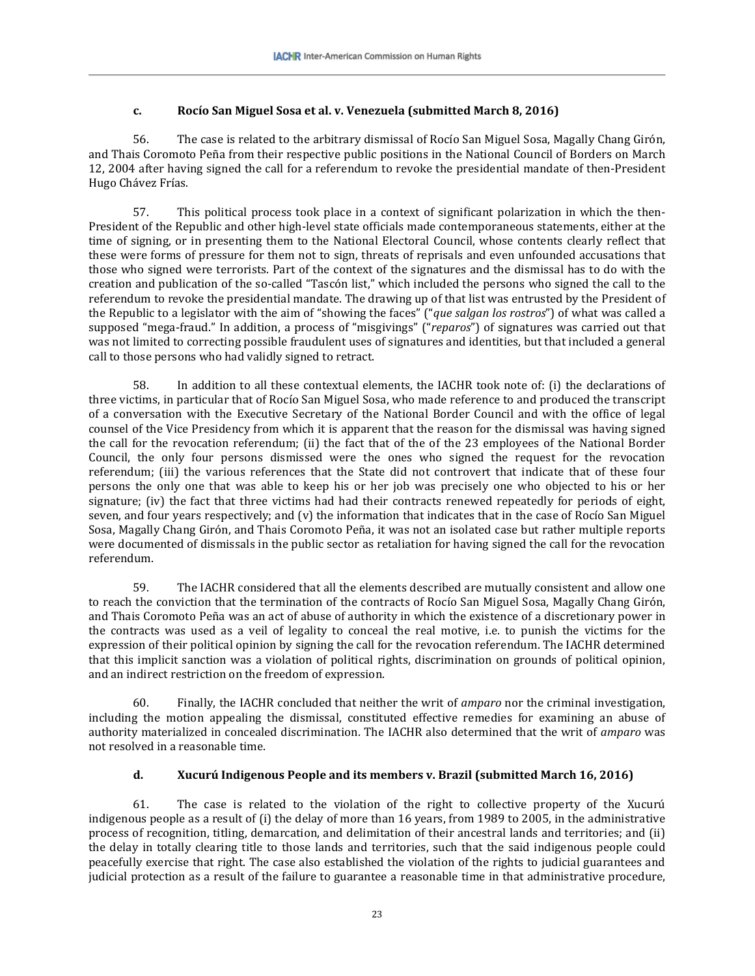# **c. Rocío San Miguel Sosa et al. v. Venezuela (submitted March 8, 2016)**

56. The case is related to the arbitrary dismissal of Rocío San Miguel Sosa, Magally Chang Girón, and Thais Coromoto Peña from their respective public positions in the National Council of Borders on March 12, 2004 after having signed the call for a referendum to revoke the presidential mandate of then-President Hugo Chávez Frías.

57. This political process took place in a context of significant polarization in which the then-President of the Republic and other high-level state officials made contemporaneous statements, either at the time of signing, or in presenting them to the National Electoral Council, whose contents clearly reflect that these were forms of pressure for them not to sign, threats of reprisals and even unfounded accusations that those who signed were terrorists. Part of the context of the signatures and the dismissal has to do with the creation and publication of the so-called "Tascón list," which included the persons who signed the call to the referendum to revoke the presidential mandate. The drawing up of that list was entrusted by the President of the Republic to a legislator with the aim of "showing the faces" ("*que salgan los rostros*") of what was called a supposed "mega-fraud." In addition, a process of "misgivings" ("*reparos*") of signatures was carried out that was not limited to correcting possible fraudulent uses of signatures and identities, but that included a general call to those persons who had validly signed to retract.

58. In addition to all these contextual elements, the IACHR took note of: (i) the declarations of three victims, in particular that of Rocío San Miguel Sosa, who made reference to and produced the transcript of a conversation with the Executive Secretary of the National Border Council and with the office of legal counsel of the Vice Presidency from which it is apparent that the reason for the dismissal was having signed the call for the revocation referendum; (ii) the fact that of the of the 23 employees of the National Border Council, the only four persons dismissed were the ones who signed the request for the revocation referendum; (iii) the various references that the State did not controvert that indicate that of these four persons the only one that was able to keep his or her job was precisely one who objected to his or her signature; (iv) the fact that three victims had had their contracts renewed repeatedly for periods of eight, seven, and four years respectively; and (v) the information that indicates that in the case of Rocío San Miguel Sosa, Magally Chang Girón, and Thais Coromoto Peña, it was not an isolated case but rather multiple reports were documented of dismissals in the public sector as retaliation for having signed the call for the revocation referendum.

59. The IACHR considered that all the elements described are mutually consistent and allow one to reach the conviction that the termination of the contracts of Rocío San Miguel Sosa, Magally Chang Girón, and Thais Coromoto Peña was an act of abuse of authority in which the existence of a discretionary power in the contracts was used as a veil of legality to conceal the real motive, i.e. to punish the victims for the expression of their political opinion by signing the call for the revocation referendum. The IACHR determined that this implicit sanction was a violation of political rights, discrimination on grounds of political opinion, and an indirect restriction on the freedom of expression.

60. Finally, the IACHR concluded that neither the writ of *amparo* nor the criminal investigation, including the motion appealing the dismissal, constituted effective remedies for examining an abuse of authority materialized in concealed discrimination. The IACHR also determined that the writ of *amparo* was not resolved in a reasonable time.

### **d. Xucurú Indigenous People and its members v. Brazil (submitted March 16, 2016)**

61. The case is related to the violation of the right to collective property of the Xucurú indigenous people as a result of (i) the delay of more than 16 years, from 1989 to 2005, in the administrative process of recognition, titling, demarcation, and delimitation of their ancestral lands and territories; and (ii) the delay in totally clearing title to those lands and territories, such that the said indigenous people could peacefully exercise that right. The case also established the violation of the rights to judicial guarantees and judicial protection as a result of the failure to guarantee a reasonable time in that administrative procedure,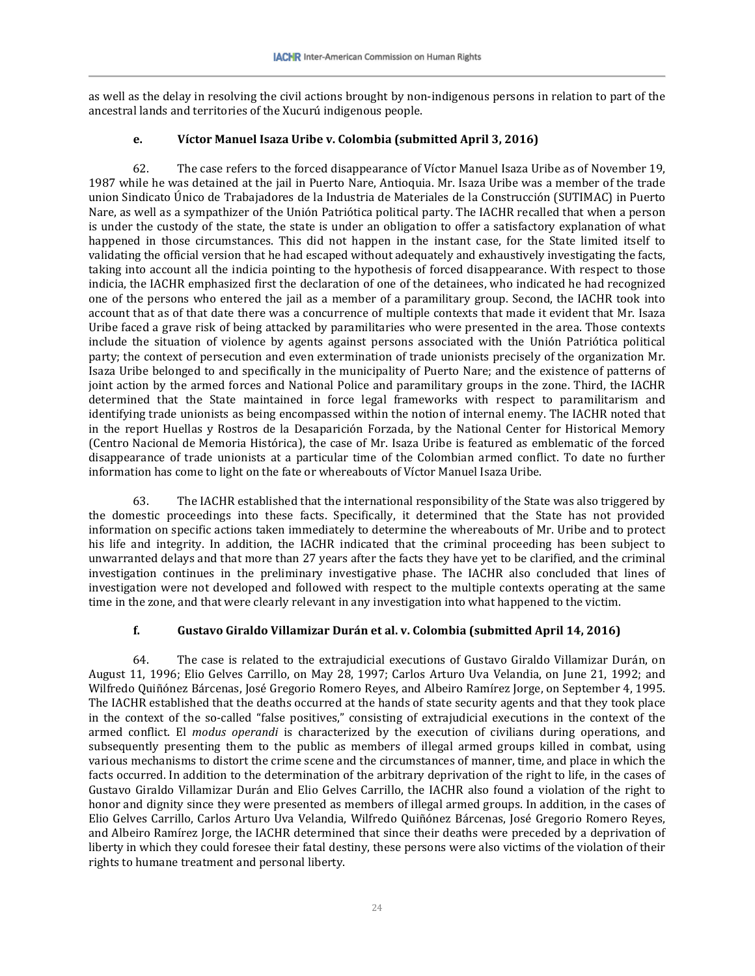as well as the delay in resolving the civil actions brought by non-indigenous persons in relation to part of the ancestral lands and territories of the Xucurú indigenous people.

### **e. Víctor Manuel Isaza Uribe v. Colombia (submitted April 3, 2016)**

62. The case refers to the forced disappearance of Víctor Manuel Isaza Uribe as of November 19, 1987 while he was detained at the jail in Puerto Nare, Antioquia. Mr. Isaza Uribe was a member of the trade union Sindicato Único de Trabajadores de la Industria de Materiales de la Construcción (SUTIMAC) in Puerto Nare, as well as a sympathizer of the Unión Patriótica political party. The IACHR recalled that when a person is under the custody of the state, the state is under an obligation to offer a satisfactory explanation of what happened in those circumstances. This did not happen in the instant case, for the State limited itself to validating the official version that he had escaped without adequately and exhaustively investigating the facts, taking into account all the indicia pointing to the hypothesis of forced disappearance. With respect to those indicia, the IACHR emphasized first the declaration of one of the detainees, who indicated he had recognized one of the persons who entered the jail as a member of a paramilitary group. Second, the IACHR took into account that as of that date there was a concurrence of multiple contexts that made it evident that Mr. Isaza Uribe faced a grave risk of being attacked by paramilitaries who were presented in the area. Those contexts include the situation of violence by agents against persons associated with the Unión Patriótica political party; the context of persecution and even extermination of trade unionists precisely of the organization Mr. Isaza Uribe belonged to and specifically in the municipality of Puerto Nare; and the existence of patterns of joint action by the armed forces and National Police and paramilitary groups in the zone. Third, the IACHR determined that the State maintained in force legal frameworks with respect to paramilitarism and identifying trade unionists as being encompassed within the notion of internal enemy. The IACHR noted that in the report Huellas y Rostros de la Desaparición Forzada, by the National Center for Historical Memory (Centro Nacional de Memoria Histórica), the case of Mr. Isaza Uribe is featured as emblematic of the forced disappearance of trade unionists at a particular time of the Colombian armed conflict. To date no further information has come to light on the fate or whereabouts of Víctor Manuel Isaza Uribe.

63. The IACHR established that the international responsibility of the State was also triggered by the domestic proceedings into these facts. Specifically, it determined that the State has not provided information on specific actions taken immediately to determine the whereabouts of Mr. Uribe and to protect his life and integrity. In addition, the IACHR indicated that the criminal proceeding has been subject to unwarranted delays and that more than 27 years after the facts they have yet to be clarified, and the criminal investigation continues in the preliminary investigative phase. The IACHR also concluded that lines of investigation were not developed and followed with respect to the multiple contexts operating at the same time in the zone, and that were clearly relevant in any investigation into what happened to the victim.

### **f. Gustavo Giraldo Villamizar Durán et al. v. Colombia (submitted April 14, 2016)**

64. The case is related to the extrajudicial executions of Gustavo Giraldo Villamizar Durán, on August 11, 1996; Elio Gelves Carrillo, on May 28, 1997; Carlos Arturo Uva Velandia, on June 21, 1992; and Wilfredo Quiñónez Bárcenas, José Gregorio Romero Reyes, and Albeiro Ramírez Jorge, on September 4, 1995. The IACHR established that the deaths occurred at the hands of state security agents and that they took place in the context of the so-called "false positives," consisting of extrajudicial executions in the context of the armed conflict. El *modus operandi* is characterized by the execution of civilians during operations, and subsequently presenting them to the public as members of illegal armed groups killed in combat, using various mechanisms to distort the crime scene and the circumstances of manner, time, and place in which the facts occurred. In addition to the determination of the arbitrary deprivation of the right to life, in the cases of Gustavo Giraldo Villamizar Durán and Elio Gelves Carrillo, the IACHR also found a violation of the right to honor and dignity since they were presented as members of illegal armed groups. In addition, in the cases of Elio Gelves Carrillo, Carlos Arturo Uva Velandia, Wilfredo Quiñónez Bárcenas, José Gregorio Romero Reyes, and Albeiro Ramírez Jorge, the IACHR determined that since their deaths were preceded by a deprivation of liberty in which they could foresee their fatal destiny, these persons were also victims of the violation of their rights to humane treatment and personal liberty.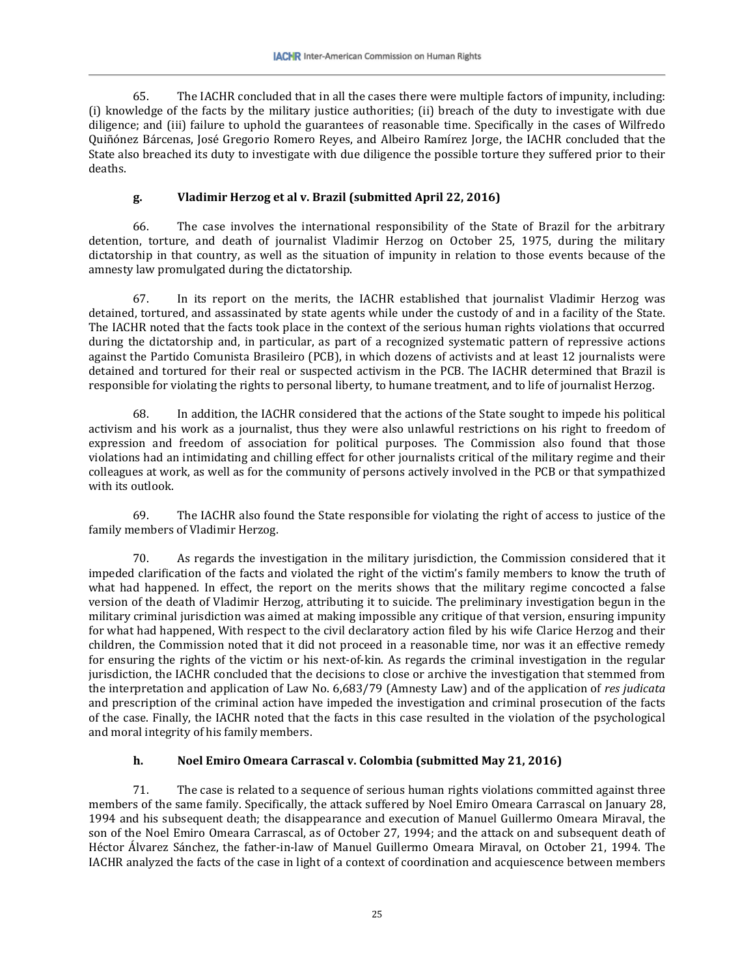65. The IACHR concluded that in all the cases there were multiple factors of impunity, including: (i) knowledge of the facts by the military justice authorities; (ii) breach of the duty to investigate with due diligence; and (iii) failure to uphold the guarantees of reasonable time. Specifically in the cases of Wilfredo Quiñónez Bárcenas, José Gregorio Romero Reyes, and Albeiro Ramírez Jorge, the IACHR concluded that the State also breached its duty to investigate with due diligence the possible torture they suffered prior to their deaths.

# **g. Vladimir Herzog et al v. Brazil (submitted April 22, 2016)**

66. The case involves the international responsibility of the State of Brazil for the arbitrary detention, torture, and death of journalist Vladimir Herzog on October 25, 1975, during the military dictatorship in that country, as well as the situation of impunity in relation to those events because of the amnesty law promulgated during the dictatorship.

67. In its report on the merits, the IACHR established that journalist Vladimir Herzog was detained, tortured, and assassinated by state agents while under the custody of and in a facility of the State. The IACHR noted that the facts took place in the context of the serious human rights violations that occurred during the dictatorship and, in particular, as part of a recognized systematic pattern of repressive actions against the Partido Comunista Brasileiro (PCB), in which dozens of activists and at least 12 journalists were detained and tortured for their real or suspected activism in the PCB. The IACHR determined that Brazil is responsible for violating the rights to personal liberty, to humane treatment, and to life of journalist Herzog.

68. In addition, the IACHR considered that the actions of the State sought to impede his political activism and his work as a journalist, thus they were also unlawful restrictions on his right to freedom of expression and freedom of association for political purposes. The Commission also found that those violations had an intimidating and chilling effect for other journalists critical of the military regime and their colleagues at work, as well as for the community of persons actively involved in the PCB or that sympathized with its outlook.

69. The IACHR also found the State responsible for violating the right of access to justice of the family members of Vladimir Herzog.

70. As regards the investigation in the military jurisdiction, the Commission considered that it impeded clarification of the facts and violated the right of the victim's family members to know the truth of what had happened. In effect, the report on the merits shows that the military regime concocted a false version of the death of Vladimir Herzog, attributing it to suicide. The preliminary investigation begun in the military criminal jurisdiction was aimed at making impossible any critique of that version, ensuring impunity for what had happened, With respect to the civil declaratory action filed by his wife Clarice Herzog and their children, the Commission noted that it did not proceed in a reasonable time, nor was it an effective remedy for ensuring the rights of the victim or his next-of-kin. As regards the criminal investigation in the regular jurisdiction, the IACHR concluded that the decisions to close or archive the investigation that stemmed from the interpretation and application of Law No. 6,683/79 (Amnesty Law) and of the application of *res judicata* and prescription of the criminal action have impeded the investigation and criminal prosecution of the facts of the case. Finally, the IACHR noted that the facts in this case resulted in the violation of the psychological and moral integrity of his family members.

# **h. Noel Emiro Omeara Carrascal v. Colombia (submitted May 21, 2016)**

71. The case is related to a sequence of serious human rights violations committed against three members of the same family. Specifically, the attack suffered by Noel Emiro Omeara Carrascal on January 28, 1994 and his subsequent death; the disappearance and execution of Manuel Guillermo Omeara Miraval, the son of the Noel Emiro Omeara Carrascal, as of October 27, 1994; and the attack on and subsequent death of Héctor Álvarez Sánchez, the father-in-law of Manuel Guillermo Omeara Miraval, on October 21, 1994. The IACHR analyzed the facts of the case in light of a context of coordination and acquiescence between members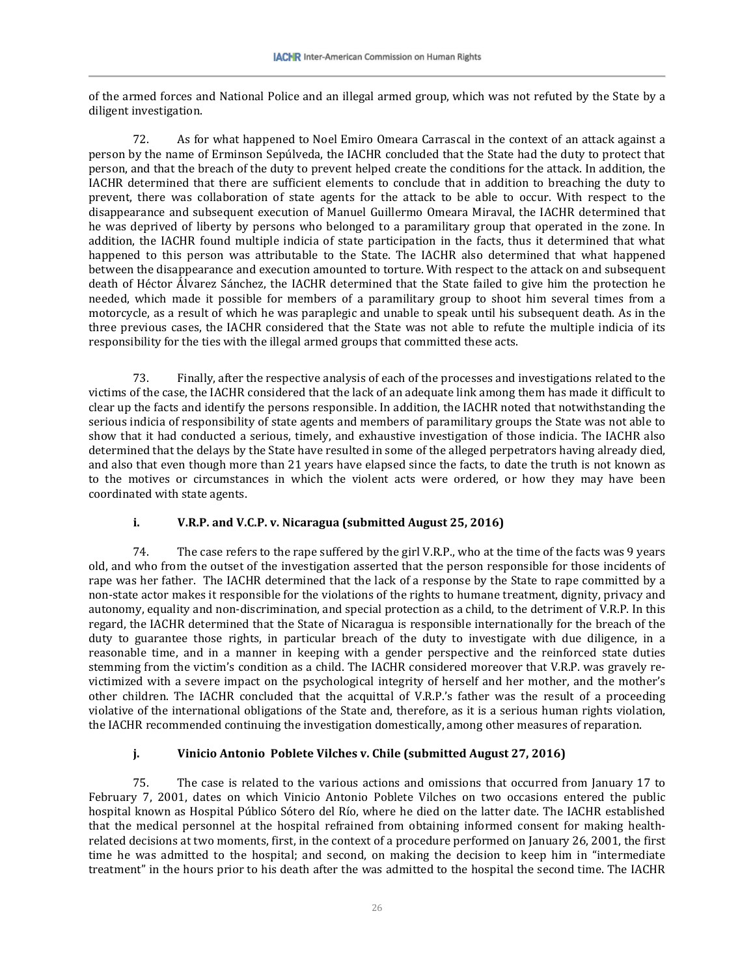of the armed forces and National Police and an illegal armed group, which was not refuted by the State by a diligent investigation.

72. As for what happened to Noel Emiro Omeara Carrascal in the context of an attack against a person by the name of Erminson Sepúlveda, the IACHR concluded that the State had the duty to protect that person, and that the breach of the duty to prevent helped create the conditions for the attack. In addition, the IACHR determined that there are sufficient elements to conclude that in addition to breaching the duty to prevent, there was collaboration of state agents for the attack to be able to occur. With respect to the disappearance and subsequent execution of Manuel Guillermo Omeara Miraval, the IACHR determined that he was deprived of liberty by persons who belonged to a paramilitary group that operated in the zone. In addition, the IACHR found multiple indicia of state participation in the facts, thus it determined that what happened to this person was attributable to the State. The IACHR also determined that what happened between the disappearance and execution amounted to torture. With respect to the attack on and subsequent death of Héctor Álvarez Sánchez, the IACHR determined that the State failed to give him the protection he needed, which made it possible for members of a paramilitary group to shoot him several times from a motorcycle, as a result of which he was paraplegic and unable to speak until his subsequent death. As in the three previous cases, the IACHR considered that the State was not able to refute the multiple indicia of its responsibility for the ties with the illegal armed groups that committed these acts.

73. Finally, after the respective analysis of each of the processes and investigations related to the victims of the case, the IACHR considered that the lack of an adequate link among them has made it difficult to clear up the facts and identify the persons responsible. In addition, the IACHR noted that notwithstanding the serious indicia of responsibility of state agents and members of paramilitary groups the State was not able to show that it had conducted a serious, timely, and exhaustive investigation of those indicia. The IACHR also determined that the delays by the State have resulted in some of the alleged perpetrators having already died, and also that even though more than 21 years have elapsed since the facts, to date the truth is not known as to the motives or circumstances in which the violent acts were ordered, or how they may have been coordinated with state agents.

### **i. V.R.P. and V.C.P. v. Nicaragua (submitted August 25, 2016)**

74. The case refers to the rape suffered by the girl V.R.P., who at the time of the facts was 9 years old, and who from the outset of the investigation asserted that the person responsible for those incidents of rape was her father. The IACHR determined that the lack of a response by the State to rape committed by a non-state actor makes it responsible for the violations of the rights to humane treatment, dignity, privacy and autonomy, equality and non-discrimination, and special protection as a child, to the detriment of V.R.P. In this regard, the IACHR determined that the State of Nicaragua is responsible internationally for the breach of the duty to guarantee those rights, in particular breach of the duty to investigate with due diligence, in a reasonable time, and in a manner in keeping with a gender perspective and the reinforced state duties stemming from the victim's condition as a child. The IACHR considered moreover that V.R.P. was gravely revictimized with a severe impact on the psychological integrity of herself and her mother, and the mother's other children. The IACHR concluded that the acquittal of V.R.P.'s father was the result of a proceeding violative of the international obligations of the State and, therefore, as it is a serious human rights violation, the IACHR recommended continuing the investigation domestically, among other measures of reparation.

### **j. Vinicio Antonio Poblete Vilches v. Chile (submitted August 27, 2016)**

75. The case is related to the various actions and omissions that occurred from January 17 to February 7, 2001, dates on which Vinicio Antonio Poblete Vilches on two occasions entered the public hospital known as Hospital Público Sótero del Río, where he died on the latter date. The IACHR established that the medical personnel at the hospital refrained from obtaining informed consent for making healthrelated decisions at two moments, first, in the context of a procedure performed on January 26, 2001, the first time he was admitted to the hospital; and second, on making the decision to keep him in "intermediate treatment" in the hours prior to his death after the was admitted to the hospital the second time. The IACHR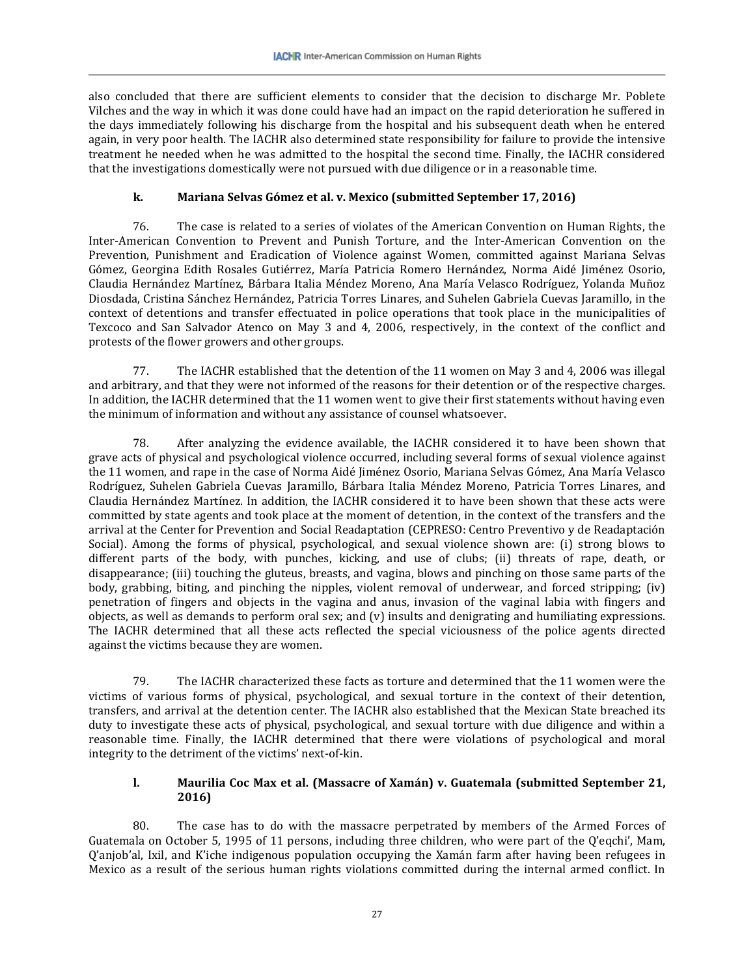also concluded that there are sufficient elements to consider that the decision to discharge Mr. Poblete Vilches and the way in which it was done could have had an impact on the rapid deterioration he suffered in the days immediately following his discharge from the hospital and his subsequent death when he entered again, in very poor health. The IACHR also determined state responsibility for failure to provide the intensive treatment he needed when he was admitted to the hospital the second time. Finally, the IACHR considered that the investigations domestically were not pursued with due diligence or in a reasonable time.

# **k. Mariana Selvas Gómez et al. v. Mexico (submitted September 17, 2016)**

76. The case is related to a series of violates of the American Convention on Human Rights, the Inter-American Convention to Prevent and Punish Torture, and the Inter-American Convention on the Prevention, Punishment and Eradication of Violence against Women, committed against Mariana Selvas Gómez, Georgina Edith Rosales Gutiérrez, María Patricia Romero Hernández, Norma Aidé Jiménez Osorio, Claudia Hernández Martínez, Bárbara Italia Méndez Moreno, Ana María Velasco Rodríguez, Yolanda Muñoz Diosdada, Cristina Sánchez Hernández, Patricia Torres Linares, and Suhelen Gabriela Cuevas Jaramillo, in the context of detentions and transfer effectuated in police operations that took place in the municipalities of Texcoco and San Salvador Atenco on May 3 and 4, 2006, respectively, in the context of the conflict and protests of the flower growers and other groups.

77. The IACHR established that the detention of the 11 women on May 3 and 4, 2006 was illegal and arbitrary, and that they were not informed of the reasons for their detention or of the respective charges. In addition, the IACHR determined that the 11 women went to give their first statements without having even the minimum of information and without any assistance of counsel whatsoever.

78. After analyzing the evidence available, the IACHR considered it to have been shown that grave acts of physical and psychological violence occurred, including several forms of sexual violence against the 11 women, and rape in the case of Norma Aidé Jiménez Osorio, Mariana Selvas Gómez, Ana María Velasco Rodríguez, Suhelen Gabriela Cuevas Jaramillo, Bárbara Italia Méndez Moreno, Patricia Torres Linares, and Claudia Hernández Martínez. In addition, the IACHR considered it to have been shown that these acts were committed by state agents and took place at the moment of detention, in the context of the transfers and the arrival at the Center for Prevention and Social Readaptation (CEPRESO: Centro Preventivo y de Readaptación Social). Among the forms of physical, psychological, and sexual violence shown are: (i) strong blows to different parts of the body, with punches, kicking, and use of clubs; (ii) threats of rape, death, or disappearance; (iii) touching the gluteus, breasts, and vagina, blows and pinching on those same parts of the body, grabbing, biting, and pinching the nipples, violent removal of underwear, and forced stripping; (iv) penetration of fingers and objects in the vagina and anus, invasion of the vaginal labia with fingers and objects, as well as demands to perform oral sex; and (v) insults and denigrating and humiliating expressions. The IACHR determined that all these acts reflected the special viciousness of the police agents directed against the victims because they are women.

79. The IACHR characterized these facts as torture and determined that the 11 women were the victims of various forms of physical, psychological, and sexual torture in the context of their detention, transfers, and arrival at the detention center. The IACHR also established that the Mexican State breached its duty to investigate these acts of physical, psychological, and sexual torture with due diligence and within a reasonable time. Finally, the IACHR determined that there were violations of psychological and moral integrity to the detriment of the victims' next-of-kin.

# **l. Maurilia Coc Max et al. (Massacre of Xamán) v. Guatemala (submitted September 21, 2016)**

80. The case has to do with the massacre perpetrated by members of the Armed Forces of Guatemala on October 5, 1995 of 11 persons, including three children, who were part of the Q'eqchi', Mam, Q'anjob'al, Ixil, and K'iche indigenous population occupying the Xamán farm after having been refugees in Mexico as a result of the serious human rights violations committed during the internal armed conflict. In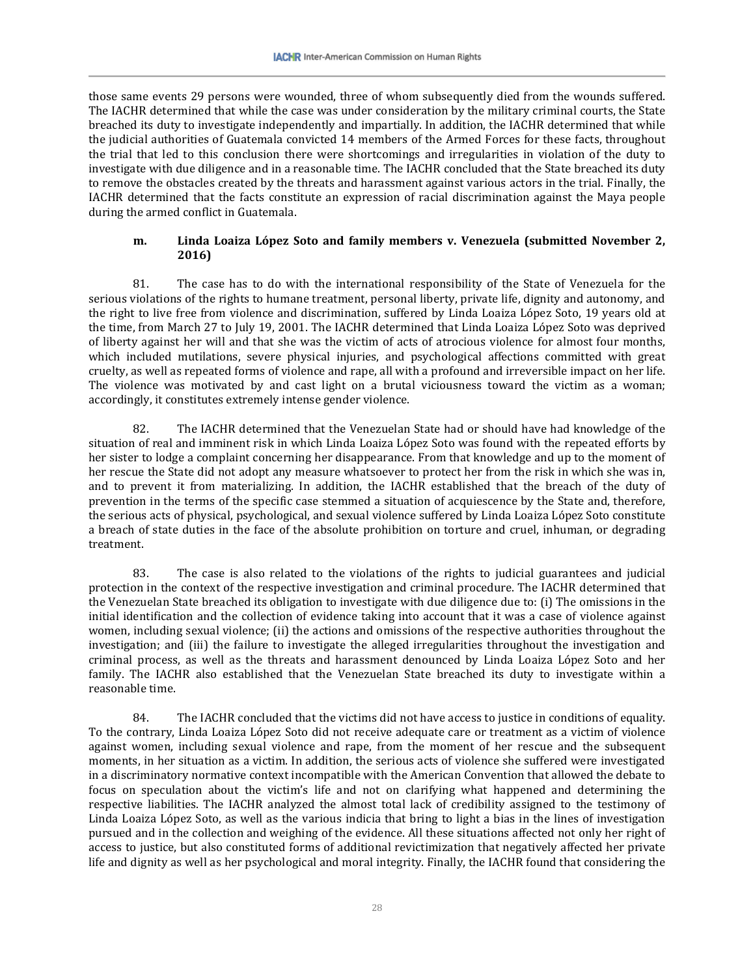those same events 29 persons were wounded, three of whom subsequently died from the wounds suffered. The IACHR determined that while the case was under consideration by the military criminal courts, the State breached its duty to investigate independently and impartially. In addition, the IACHR determined that while the judicial authorities of Guatemala convicted 14 members of the Armed Forces for these facts, throughout the trial that led to this conclusion there were shortcomings and irregularities in violation of the duty to investigate with due diligence and in a reasonable time. The IACHR concluded that the State breached its duty to remove the obstacles created by the threats and harassment against various actors in the trial. Finally, the IACHR determined that the facts constitute an expression of racial discrimination against the Maya people during the armed conflict in Guatemala.

### **m. Linda Loaiza López Soto and family members v. Venezuela (submitted November 2, 2016)**

81. The case has to do with the international responsibility of the State of Venezuela for the serious violations of the rights to humane treatment, personal liberty, private life, dignity and autonomy, and the right to live free from violence and discrimination, suffered by Linda Loaiza López Soto, 19 years old at the time, from March 27 to July 19, 2001. The IACHR determined that Linda Loaiza López Soto was deprived of liberty against her will and that she was the victim of acts of atrocious violence for almost four months, which included mutilations, severe physical injuries, and psychological affections committed with great cruelty, as well as repeated forms of violence and rape, all with a profound and irreversible impact on her life. The violence was motivated by and cast light on a brutal viciousness toward the victim as a woman; accordingly, it constitutes extremely intense gender violence.

82. The IACHR determined that the Venezuelan State had or should have had knowledge of the situation of real and imminent risk in which Linda Loaiza López Soto was found with the repeated efforts by her sister to lodge a complaint concerning her disappearance. From that knowledge and up to the moment of her rescue the State did not adopt any measure whatsoever to protect her from the risk in which she was in, and to prevent it from materializing. In addition, the IACHR established that the breach of the duty of prevention in the terms of the specific case stemmed a situation of acquiescence by the State and, therefore, the serious acts of physical, psychological, and sexual violence suffered by Linda Loaiza López Soto constitute a breach of state duties in the face of the absolute prohibition on torture and cruel, inhuman, or degrading treatment.

83. The case is also related to the violations of the rights to judicial guarantees and judicial protection in the context of the respective investigation and criminal procedure. The IACHR determined that the Venezuelan State breached its obligation to investigate with due diligence due to: (i) The omissions in the initial identification and the collection of evidence taking into account that it was a case of violence against women, including sexual violence; (ii) the actions and omissions of the respective authorities throughout the investigation; and (iii) the failure to investigate the alleged irregularities throughout the investigation and criminal process, as well as the threats and harassment denounced by Linda Loaiza López Soto and her family. The IACHR also established that the Venezuelan State breached its duty to investigate within a reasonable time.

84. The IACHR concluded that the victims did not have access to justice in conditions of equality. To the contrary, Linda Loaiza López Soto did not receive adequate care or treatment as a victim of violence against women, including sexual violence and rape, from the moment of her rescue and the subsequent moments, in her situation as a victim. In addition, the serious acts of violence she suffered were investigated in a discriminatory normative context incompatible with the American Convention that allowed the debate to focus on speculation about the victim's life and not on clarifying what happened and determining the respective liabilities. The IACHR analyzed the almost total lack of credibility assigned to the testimony of Linda Loaiza López Soto, as well as the various indicia that bring to light a bias in the lines of investigation pursued and in the collection and weighing of the evidence. All these situations affected not only her right of access to justice, but also constituted forms of additional revictimization that negatively affected her private life and dignity as well as her psychological and moral integrity. Finally, the IACHR found that considering the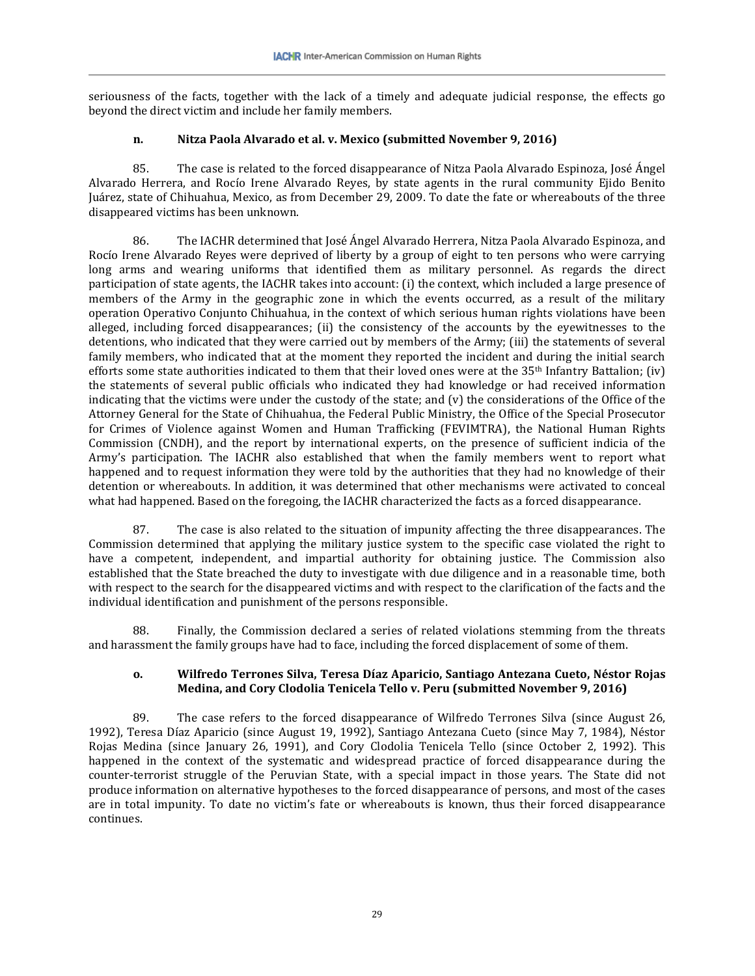seriousness of the facts, together with the lack of a timely and adequate judicial response, the effects go beyond the direct victim and include her family members.

### **n. Nitza Paola Alvarado et al. v. Mexico (submitted November 9, 2016)**

85. The case is related to the forced disappearance of Nitza Paola Alvarado Espinoza, José Ángel Alvarado Herrera, and Rocío Irene Alvarado Reyes, by state agents in the rural community Ejido Benito Juárez, state of Chihuahua, Mexico, as from December 29, 2009. To date the fate or whereabouts of the three disappeared victims has been unknown.

86. The IACHR determined that José Ángel Alvarado Herrera, Nitza Paola Alvarado Espinoza, and Rocío Irene Alvarado Reyes were deprived of liberty by a group of eight to ten persons who were carrying long arms and wearing uniforms that identified them as military personnel. As regards the direct participation of state agents, the IACHR takes into account: (i) the context, which included a large presence of members of the Army in the geographic zone in which the events occurred, as a result of the military operation Operativo Conjunto Chihuahua, in the context of which serious human rights violations have been alleged, including forced disappearances; (ii) the consistency of the accounts by the eyewitnesses to the detentions, who indicated that they were carried out by members of the Army; (iii) the statements of several family members, who indicated that at the moment they reported the incident and during the initial search efforts some state authorities indicated to them that their loved ones were at the  $35<sup>th</sup>$  Infantry Battalion; (iv) the statements of several public officials who indicated they had knowledge or had received information indicating that the victims were under the custody of the state; and  $(v)$  the considerations of the Office of the Attorney General for the State of Chihuahua, the Federal Public Ministry, the Office of the Special Prosecutor for Crimes of Violence against Women and Human Trafficking (FEVIMTRA), the National Human Rights Commission (CNDH), and the report by international experts, on the presence of sufficient indicia of the Army's participation. The IACHR also established that when the family members went to report what happened and to request information they were told by the authorities that they had no knowledge of their detention or whereabouts. In addition, it was determined that other mechanisms were activated to conceal what had happened. Based on the foregoing, the IACHR characterized the facts as a forced disappearance.

87. The case is also related to the situation of impunity affecting the three disappearances. The Commission determined that applying the military justice system to the specific case violated the right to have a competent, independent, and impartial authority for obtaining justice. The Commission also established that the State breached the duty to investigate with due diligence and in a reasonable time, both with respect to the search for the disappeared victims and with respect to the clarification of the facts and the individual identification and punishment of the persons responsible.

88. Finally, the Commission declared a series of related violations stemming from the threats and harassment the family groups have had to face, including the forced displacement of some of them.

### **o. Wilfredo Terrones Silva, Teresa Díaz Aparicio, Santiago Antezana Cueto, Néstor Rojas Medina, and Cory Clodolia Tenicela Tello v. Peru (submitted November 9, 2016)**

89. The case refers to the forced disappearance of Wilfredo Terrones Silva (since August 26, 1992), Teresa Díaz Aparicio (since August 19, 1992), Santiago Antezana Cueto (since May 7, 1984), Néstor Rojas Medina (since January 26, 1991), and Cory Clodolia Tenicela Tello (since October 2, 1992). This happened in the context of the systematic and widespread practice of forced disappearance during the counter-terrorist struggle of the Peruvian State, with a special impact in those years. The State did not produce information on alternative hypotheses to the forced disappearance of persons, and most of the cases are in total impunity. To date no victim's fate or whereabouts is known, thus their forced disappearance continues.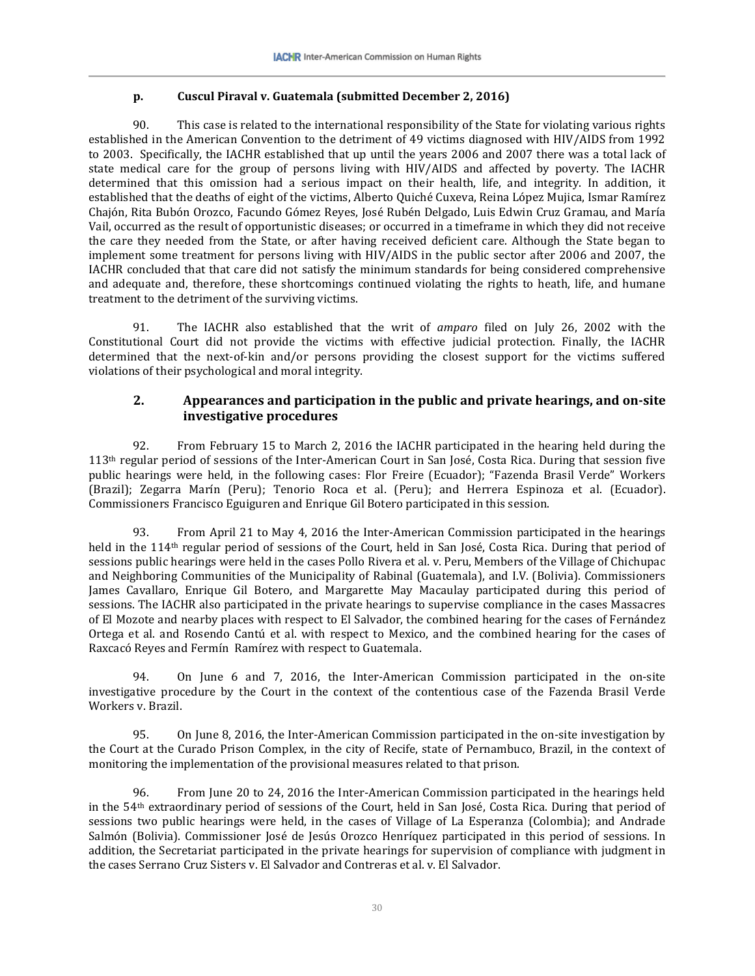### **p. Cuscul Piraval v. Guatemala (submitted December 2, 2016)**

90. This case is related to the international responsibility of the State for violating various rights established in the American Convention to the detriment of 49 victims diagnosed with HIV/AIDS from 1992 to 2003. Specifically, the IACHR established that up until the years 2006 and 2007 there was a total lack of state medical care for the group of persons living with HIV/AIDS and affected by poverty. The IACHR determined that this omission had a serious impact on their health, life, and integrity. In addition, it established that the deaths of eight of the victims, Alberto Quiché Cuxeva, Reina López Mujica, Ismar Ramírez Chajón, Rita Bubón Orozco, Facundo Gómez Reyes, José Rubén Delgado, Luis Edwin Cruz Gramau, and María Vail, occurred as the result of opportunistic diseases; or occurred in a timeframe in which they did not receive the care they needed from the State, or after having received deficient care. Although the State began to implement some treatment for persons living with HIV/AIDS in the public sector after 2006 and 2007, the IACHR concluded that that care did not satisfy the minimum standards for being considered comprehensive and adequate and, therefore, these shortcomings continued violating the rights to heath, life, and humane treatment to the detriment of the surviving victims.

91. The IACHR also established that the writ of *amparo* filed on July 26, 2002 with the Constitutional Court did not provide the victims with effective judicial protection. Finally, the IACHR determined that the next-of-kin and/or persons providing the closest support for the victims suffered violations of their psychological and moral integrity.

# **2. Appearances and participation in the public and private hearings, and on-site investigative procedures**

92. From February 15 to March 2, 2016 the IACHR participated in the hearing held during the 113th regular period of sessions of the Inter-American Court in San José, Costa Rica. During that session five public hearings were held, in the following cases: Flor Freire (Ecuador); "Fazenda Brasil Verde" Workers (Brazil); Zegarra Marín (Peru); Tenorio Roca et al. (Peru); and Herrera Espinoza et al. (Ecuador). Commissioners Francisco Eguiguren and Enrique Gil Botero participated in this session.

93. From April 21 to May 4, 2016 the Inter-American Commission participated in the hearings held in the 114th regular period of sessions of the Court, held in San José, Costa Rica. During that period of sessions public hearings were held in the cases Pollo Rivera et al. v. Peru, Members of the Village of Chichupac and Neighboring Communities of the Municipality of Rabinal (Guatemala), and I.V. (Bolivia). Commissioners James Cavallaro, Enrique Gil Botero, and Margarette May Macaulay participated during this period of sessions. The IACHR also participated in the private hearings to supervise compliance in the cases Massacres of El Mozote and nearby places with respect to El Salvador, the combined hearing for the cases of Fernández Ortega et al. and Rosendo Cantú et al. with respect to Mexico, and the combined hearing for the cases of Raxcacó Reyes and Fermín Ramírez with respect to Guatemala.

94. On June 6 and 7, 2016, the Inter-American Commission participated in the on-site investigative procedure by the Court in the context of the contentious case of the Fazenda Brasil Verde Workers v. Brazil.

95. On June 8, 2016, the Inter-American Commission participated in the on-site investigation by the Court at the Curado Prison Complex, in the city of Recife, state of Pernambuco, Brazil, in the context of monitoring the implementation of the provisional measures related to that prison.

96. From June 20 to 24, 2016 the Inter-American Commission participated in the hearings held in the 54th extraordinary period of sessions of the Court, held in San José, Costa Rica. During that period of sessions two public hearings were held, in the cases of Village of La Esperanza (Colombia); and Andrade Salmón (Bolivia). Commissioner José de Jesús Orozco Henríquez participated in this period of sessions. In addition, the Secretariat participated in the private hearings for supervision of compliance with judgment in the cases Serrano Cruz Sisters v. El Salvador and Contreras et al. v. El Salvador.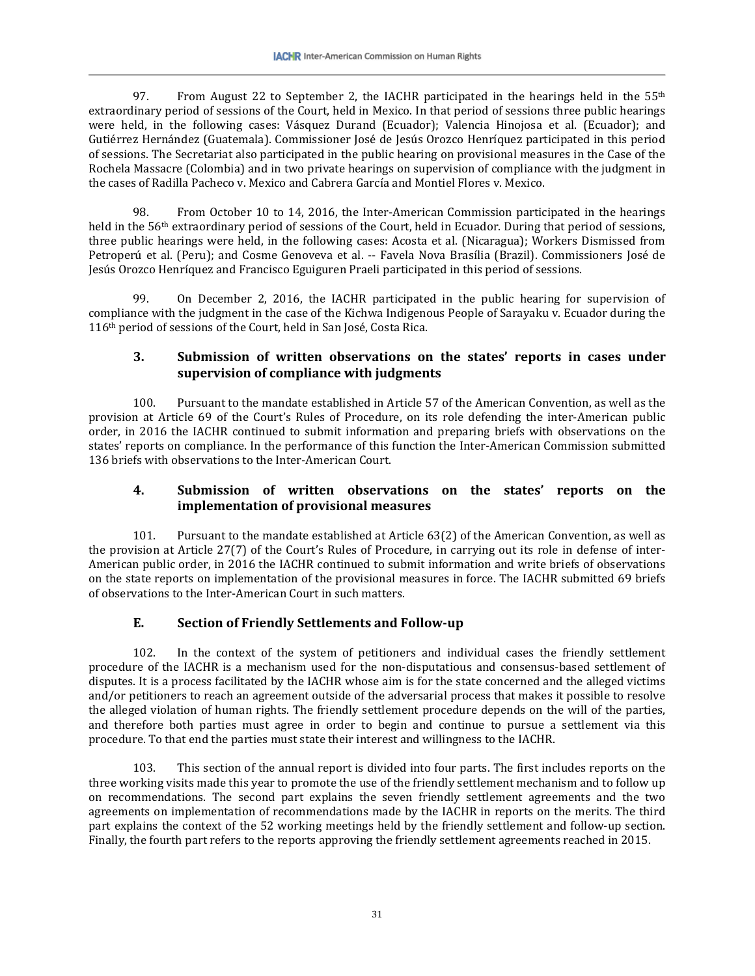97. From August 22 to September 2, the IACHR participated in the hearings held in the  $55<sup>th</sup>$ extraordinary period of sessions of the Court, held in Mexico. In that period of sessions three public hearings were held, in the following cases: Vásquez Durand (Ecuador); Valencia Hinojosa et al. (Ecuador); and Gutiérrez Hernández (Guatemala). Commissioner José de Jesús Orozco Henríquez participated in this period of sessions. The Secretariat also participated in the public hearing on provisional measures in the Case of the Rochela Massacre (Colombia) and in two private hearings on supervision of compliance with the judgment in the cases of Radilla Pacheco v. Mexico and Cabrera García and Montiel Flores v. Mexico.

98. From October 10 to 14, 2016, the Inter-American Commission participated in the hearings held in the 56<sup>th</sup> extraordinary period of sessions of the Court, held in Ecuador. During that period of sessions, three public hearings were held, in the following cases: Acosta et al. (Nicaragua); Workers Dismissed from Petroperú et al. (Peru); and Cosme Genoveva et al. -- Favela Nova Brasília (Brazil). Commissioners José de Jesús Orozco Henríquez and Francisco Eguiguren Praeli participated in this period of sessions.

99. On December 2, 2016, the IACHR participated in the public hearing for supervision of compliance with the judgment in the case of the Kichwa Indigenous People of Sarayaku v. Ecuador during the 116<sup>th</sup> period of sessions of the Court, held in San José, Costa Rica.

# **3. Submission of written observations on the states' reports in cases under supervision of compliance with judgments**

100. Pursuant to the mandate established in Article 57 of the American Convention, as well as the provision at Article 69 of the Court's Rules of Procedure, on its role defending the inter-American public order, in 2016 the IACHR continued to submit information and preparing briefs with observations on the states' reports on compliance. In the performance of this function the Inter-American Commission submitted 136 briefs with observations to the Inter-American Court.

# **4. Submission of written observations on the states' reports on the implementation of provisional measures**

101. Pursuant to the mandate established at Article 63(2) of the American Convention, as well as the provision at Article 27(7) of the Court's Rules of Procedure, in carrying out its role in defense of inter-American public order, in 2016 the IACHR continued to submit information and write briefs of observations on the state reports on implementation of the provisional measures in force. The IACHR submitted 69 briefs of observations to the Inter-American Court in such matters.

# **E. Section of Friendly Settlements and Follow-up**

102. In the context of the system of petitioners and individual cases the friendly settlement procedure of the IACHR is a mechanism used for the non-disputatious and consensus-based settlement of disputes. It is a process facilitated by the IACHR whose aim is for the state concerned and the alleged victims and/or petitioners to reach an agreement outside of the adversarial process that makes it possible to resolve the alleged violation of human rights. The friendly settlement procedure depends on the will of the parties, and therefore both parties must agree in order to begin and continue to pursue a settlement via this procedure. To that end the parties must state their interest and willingness to the IACHR.

103. This section of the annual report is divided into four parts. The first includes reports on the three working visits made this year to promote the use of the friendly settlement mechanism and to follow up on recommendations. The second part explains the seven friendly settlement agreements and the two agreements on implementation of recommendations made by the IACHR in reports on the merits. The third part explains the context of the 52 working meetings held by the friendly settlement and follow-up section. Finally, the fourth part refers to the reports approving the friendly settlement agreements reached in 2015.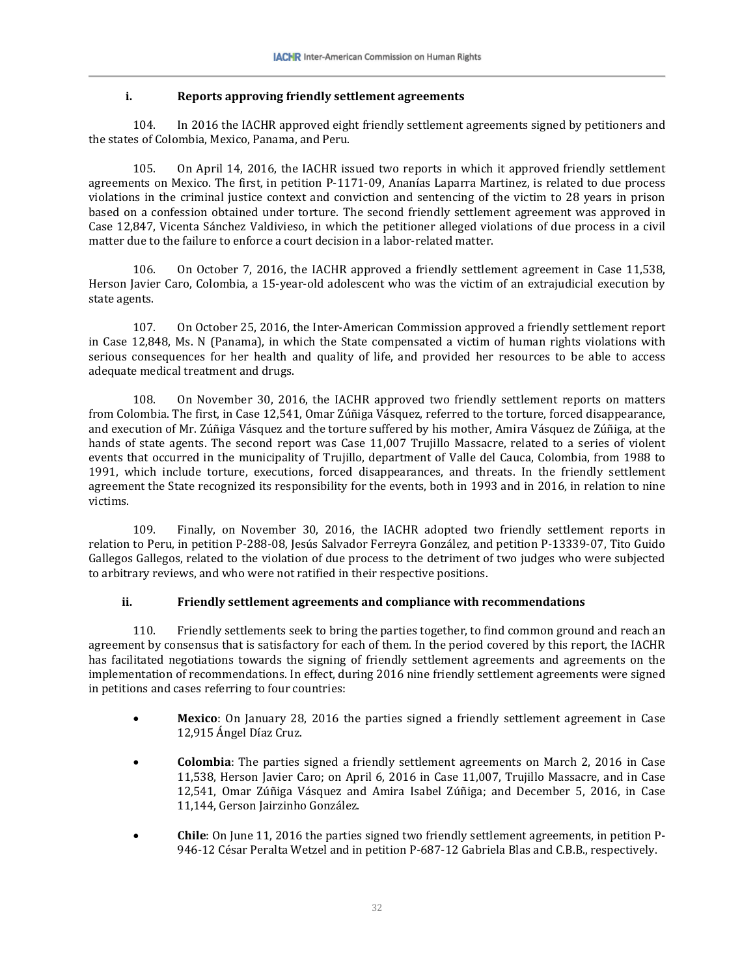### **i. Reports approving friendly settlement agreements**

104. In 2016 the IACHR approved eight friendly settlement agreements signed by petitioners and the states of Colombia, Mexico, Panama, and Peru.

105. On April 14, 2016, the IACHR issued two reports in which it approved friendly settlement agreements on Mexico. The first, in petition P-1171-09, Ananías Laparra Martinez, is related to due process violations in the criminal justice context and conviction and sentencing of the victim to 28 years in prison based on a confession obtained under torture. The second friendly settlement agreement was approved in Case 12,847, Vicenta Sánchez Valdivieso, in which the petitioner alleged violations of due process in a civil matter due to the failure to enforce a court decision in a labor-related matter.

106. On October 7, 2016, the IACHR approved a friendly settlement agreement in Case 11,538, Herson Javier Caro, Colombia, a 15-year-old adolescent who was the victim of an extrajudicial execution by state agents.

107. On October 25, 2016, the Inter-American Commission approved a friendly settlement report in Case 12,848, Ms. N (Panama), in which the State compensated a victim of human rights violations with serious consequences for her health and quality of life, and provided her resources to be able to access adequate medical treatment and drugs.

108. On November 30, 2016, the IACHR approved two friendly settlement reports on matters from Colombia. The first, in Case 12,541, Omar Zúñiga Vásquez, referred to the torture, forced disappearance, and execution of Mr. Zúñiga Vásquez and the torture suffered by his mother, Amira Vásquez de Zúñiga, at the hands of state agents. The second report was Case 11,007 Trujillo Massacre, related to a series of violent events that occurred in the municipality of Trujillo, department of Valle del Cauca, Colombia, from 1988 to 1991, which include torture, executions, forced disappearances, and threats. In the friendly settlement agreement the State recognized its responsibility for the events, both in 1993 and in 2016, in relation to nine victims.

109. Finally, on November 30, 2016, the IACHR adopted two friendly settlement reports in relation to Peru, in petition P-288-08, Jesús Salvador Ferreyra González, and petition P-13339-07, Tito Guido Gallegos Gallegos, related to the violation of due process to the detriment of two judges who were subjected to arbitrary reviews, and who were not ratified in their respective positions.

### **ii. Friendly settlement agreements and compliance with recommendations**

110. Friendly settlements seek to bring the parties together, to find common ground and reach an agreement by consensus that is satisfactory for each of them. In the period covered by this report, the IACHR has facilitated negotiations towards the signing of friendly settlement agreements and agreements on the implementation of recommendations. In effect, during 2016 nine friendly settlement agreements were signed in petitions and cases referring to four countries:

- **Mexico**: On January 28, 2016 the parties signed a friendly settlement agreement in Case 12,915 Ángel Díaz Cruz.
- **Colombia**: The parties signed a friendly settlement agreements on March 2, 2016 in Case 11,538, Herson Javier Caro; on April 6, 2016 in Case 11,007, Trujillo Massacre, and in Case 12,541, Omar Zúñiga Vásquez and Amira Isabel Zúñiga; and December 5, 2016, in Case 11,144, Gerson Jairzinho González.
- **Chile**: On June 11, 2016 the parties signed two friendly settlement agreements, in petition P-946-12 César Peralta Wetzel and in petition P-687-12 Gabriela Blas and C.B.B., respectively.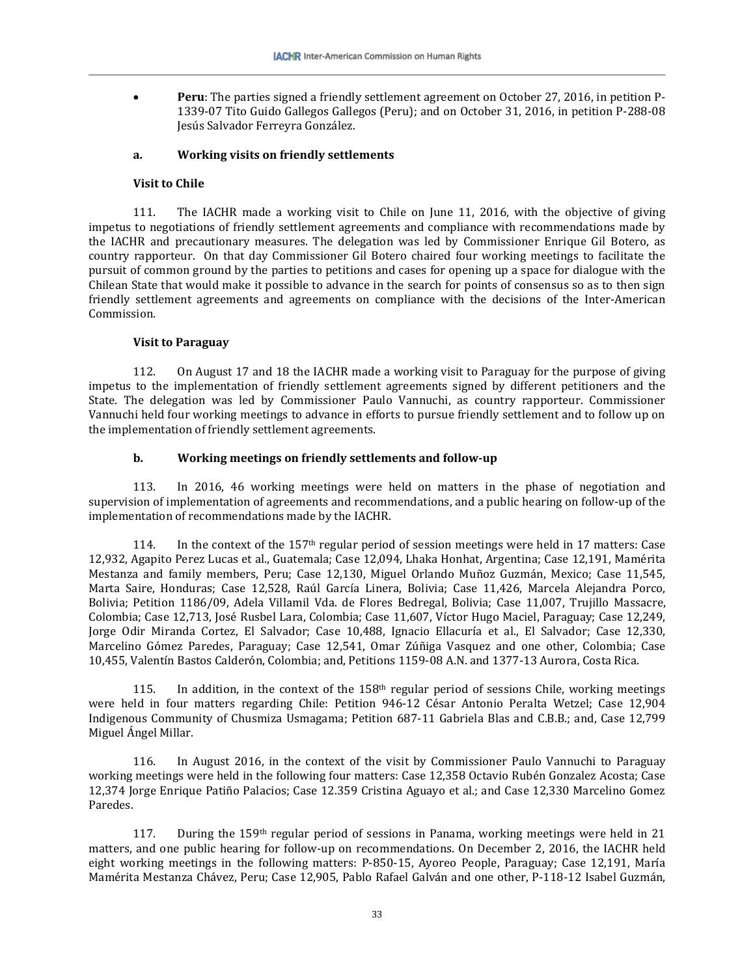• **Peru**: The parties signed a friendly settlement agreement on October 27, 2016, in petition P-1339-07 Tito Guido Gallegos Gallegos (Peru); and on October 31, 2016, in petition P-288-08 Jesús Salvador Ferreyra González.

#### **a. Working visits on friendly settlements**

#### **Visit to Chile**

111. The IACHR made a working visit to Chile on June 11, 2016, with the objective of giving impetus to negotiations of friendly settlement agreements and compliance with recommendations made by the IACHR and precautionary measures. The delegation was led by Commissioner Enrique Gil Botero, as country rapporteur. On that day Commissioner Gil Botero chaired four working meetings to facilitate the pursuit of common ground by the parties to petitions and cases for opening up a space for dialogue with the Chilean State that would make it possible to advance in the search for points of consensus so as to then sign friendly settlement agreements and agreements on compliance with the decisions of the Inter-American Commission.

#### **Visit to Paraguay**

112. On August 17 and 18 the IACHR made a working visit to Paraguay for the purpose of giving impetus to the implementation of friendly settlement agreements signed by different petitioners and the State. The delegation was led by Commissioner Paulo Vannuchi, as country rapporteur. Commissioner Vannuchi held four working meetings to advance in efforts to pursue friendly settlement and to follow up on the implementation of friendly settlement agreements.

#### **b. Working meetings on friendly settlements and follow-up**

113. In 2016, 46 working meetings were held on matters in the phase of negotiation and supervision of implementation of agreements and recommendations, and a public hearing on follow-up of the implementation of recommendations made by the IACHR.

114. In the context of the 157<sup>th</sup> regular period of session meetings were held in 17 matters: Case 12,932, Agapito Perez Lucas et al., Guatemala; Case 12,094, Lhaka Honhat, Argentina; Case 12,191, Mamérita Mestanza and family members, Peru; Case 12,130, Miguel Orlando Muñoz Guzmán, Mexico; Case 11,545, Marta Saire, Honduras; Case 12,528, Raúl García Linera, Bolivia; Case 11,426, Marcela Alejandra Porco, Bolivia; Petition 1186/09, Adela Villamil Vda. de Flores Bedregal, Bolivia; Case 11,007, Trujillo Massacre, Colombia; Case 12,713, José Rusbel Lara, Colombia; Case 11,607, Víctor Hugo Maciel, Paraguay; Case 12,249, Jorge Odir Miranda Cortez, El Salvador; Case 10,488, Ignacio Ellacuría et al., El Salvador; Case 12,330, Marcelino Gómez Paredes, Paraguay; Case 12,541, Omar Zúñiga Vasquez and one other, Colombia; Case 10,455, Valentín Bastos Calderón, Colombia; and, Petitions 1159-08 A.N. and 1377-13 Aurora, Costa Rica.

115. In addition, in the context of the  $158<sup>th</sup>$  regular period of sessions Chile, working meetings were held in four matters regarding Chile: Petition 946-12 César Antonio Peralta Wetzel; Case 12,904 Indigenous Community of Chusmiza Usmagama; Petition 687-11 Gabriela Blas and C.B.B.; and, Case 12,799 Miguel Ángel Millar.

116. In August 2016, in the context of the visit by Commissioner Paulo Vannuchi to Paraguay working meetings were held in the following four matters: Case 12,358 Octavio Rubén Gonzalez Acosta; Case 12,374 Jorge Enrique Patiño Palacios; Case 12.359 Cristina Aguayo et al.; and Case 12,330 Marcelino Gomez Paredes.

117. During the 159<sup>th</sup> regular period of sessions in Panama, working meetings were held in 21 matters, and one public hearing for follow-up on recommendations. On December 2, 2016, the IACHR held eight working meetings in the following matters: P-850-15, Ayoreo People, Paraguay; Case 12,191, María Mamérita Mestanza Chávez, Peru; Case 12,905, Pablo Rafael Galván and one other, P-118-12 Isabel Guzmán,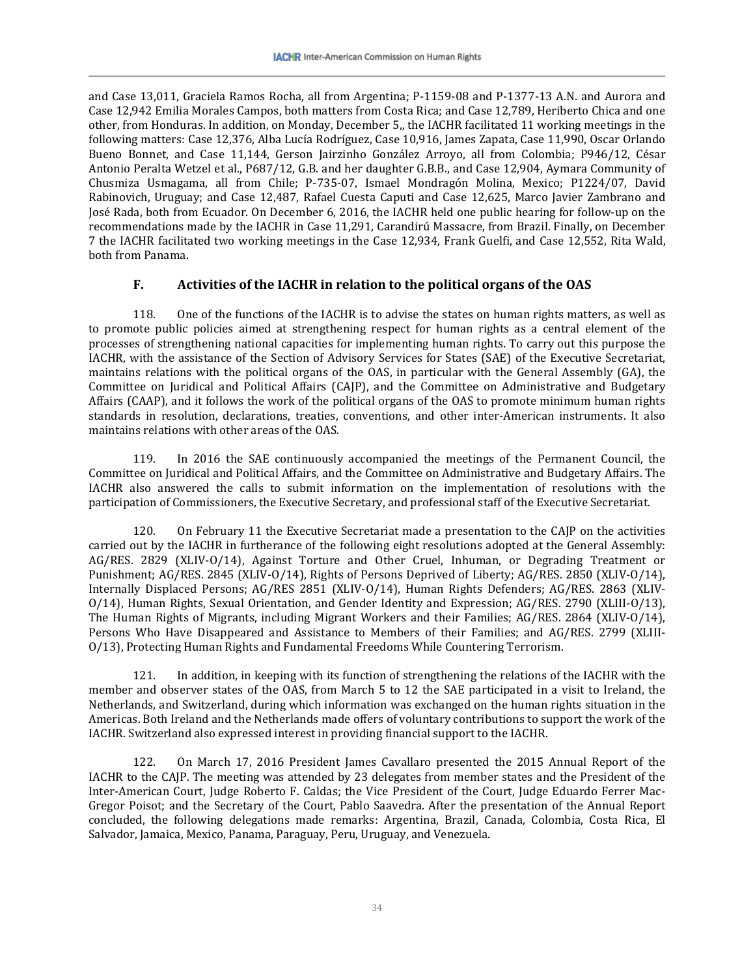and Case 13,011, Graciela Ramos Rocha, all from Argentina; P-1159-08 and P-1377-13 A.N. and Aurora and Case 12,942 Emilia Morales Campos, both matters from Costa Rica; and Case 12,789, Heriberto Chica and one other, from Honduras. In addition, on Monday, December 5,, the IACHR facilitated 11 working meetings in the following matters: Case 12,376, Alba Lucía Rodríguez, Case 10,916, James Zapata, Case 11,990, Oscar Orlando Bueno Bonnet, and Case 11,144, Gerson Jairzinho González Arroyo, all from Colombia; P946/12, César Antonio Peralta Wetzel et al., P687/12, G.B. and her daughter G.B.B., and Case 12,904, Aymara Community of Chusmiza Usmagama, all from Chile; P-735-07, Ismael Mondragón Molina, Mexico; P1224/07, David Rabinovich, Uruguay; and Case 12,487, Rafael Cuesta Caputi and Case 12,625, Marco Javier Zambrano and José Rada, both from Ecuador. On December 6, 2016, the IACHR held one public hearing for follow-up on the recommendations made by the IACHR in Case 11,291, Carandirú Massacre, from Brazil. Finally, on December 7 the IACHR facilitated two working meetings in the Case 12,934, Frank Guelfi, and Case 12,552, Rita Wald, both from Panama.

### **F. Activities of the IACHR in relation to the political organs of the OAS**

118. One of the functions of the IACHR is to advise the states on human rights matters, as well as to promote public policies aimed at strengthening respect for human rights as a central element of the processes of strengthening national capacities for implementing human rights. To carry out this purpose the IACHR, with the assistance of the Section of Advisory Services for States (SAE) of the Executive Secretariat, maintains relations with the political organs of the OAS, in particular with the General Assembly (GA), the Committee on Juridical and Political Affairs (CAJP), and the Committee on Administrative and Budgetary Affairs (CAAP), and it follows the work of the political organs of the OAS to promote minimum human rights standards in resolution, declarations, treaties, conventions, and other inter-American instruments. It also maintains relations with other areas of the OAS.

119. In 2016 the SAE continuously accompanied the meetings of the Permanent Council, the Committee on Juridical and Political Affairs, and the Committee on Administrative and Budgetary Affairs. The IACHR also answered the calls to submit information on the implementation of resolutions with the participation of Commissioners, the Executive Secretary, and professional staff of the Executive Secretariat.

120. On February 11 the Executive Secretariat made a presentation to the CAJP on the activities carried out by the IACHR in furtherance of the following eight resolutions adopted at the General Assembly: AG/RES. 2829 (XLIV-O/14), Against Torture and Other Cruel, Inhuman, or Degrading Treatment or Punishment; AG/RES. 2845 (XLIV-O/14), Rights of Persons Deprived of Liberty; AG/RES. 2850 (XLIV-O/14), Internally Displaced Persons; AG/RES 2851 (XLIV-O/14), Human Rights Defenders; AG/RES. 2863 (XLIV-O/14), Human Rights, Sexual Orientation, and Gender Identity and Expression; AG/RES. 2790 (XLIII-O/13), The Human Rights of Migrants, including Migrant Workers and their Families; AG/RES. 2864 (XLIV-O/14), Persons Who Have Disappeared and Assistance to Members of their Families; and AG/RES. 2799 (XLIII-O/13), Protecting Human Rights and Fundamental Freedoms While Countering Terrorism.

121. In addition, in keeping with its function of strengthening the relations of the IACHR with the member and observer states of the OAS, from March 5 to 12 the SAE participated in a visit to Ireland, the Netherlands, and Switzerland, during which information was exchanged on the human rights situation in the Americas. Both Ireland and the Netherlands made offers of voluntary contributions to support the work of the IACHR. Switzerland also expressed interest in providing financial support to the IACHR.

122. On March 17, 2016 President James Cavallaro presented the 2015 Annual Report of the IACHR to the CAJP. The meeting was attended by 23 delegates from member states and the President of the Inter-American Court, Judge Roberto F. Caldas; the Vice President of the Court, Judge Eduardo Ferrer Mac-Gregor Poisot; and the Secretary of the Court, Pablo Saavedra. After the presentation of the Annual Report concluded, the following delegations made remarks: Argentina, Brazil, Canada, Colombia, Costa Rica, El Salvador, Jamaica, Mexico, Panama, Paraguay, Peru, Uruguay, and Venezuela.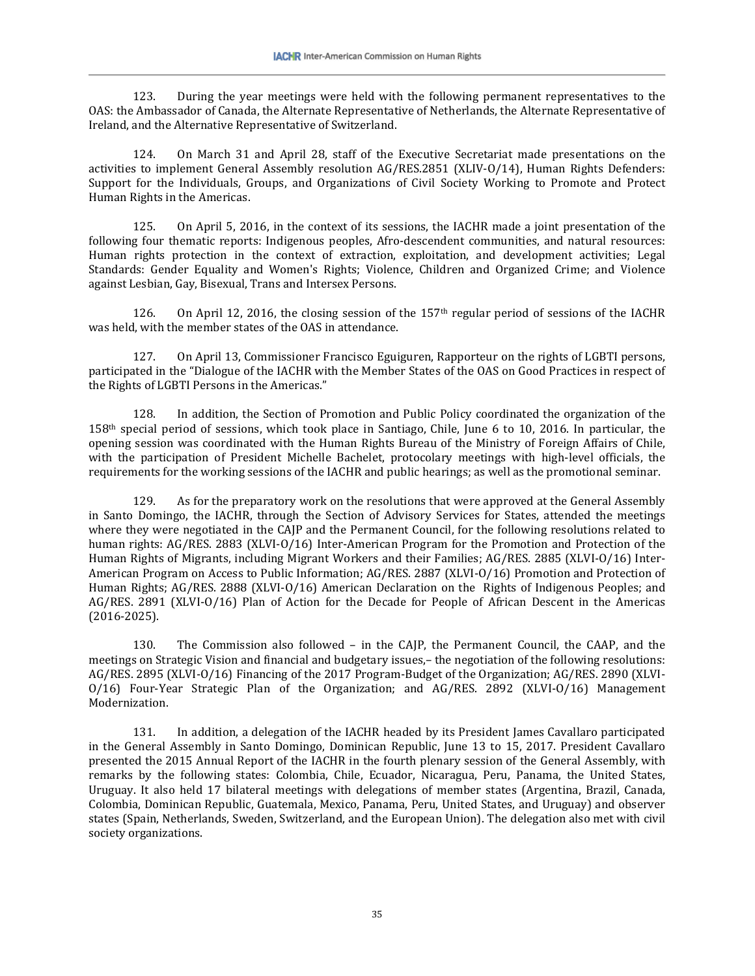123. During the year meetings were held with the following permanent representatives to the OAS: the Ambassador of Canada, the Alternate Representative of Netherlands, the Alternate Representative of Ireland, and the Alternative Representative of Switzerland.

124. On March 31 and April 28, staff of the Executive Secretariat made presentations on the activities to implement General Assembly resolution AG/RES.2851 (XLIV-O/14), Human Rights Defenders: Support for the Individuals, Groups, and Organizations of Civil Society Working to Promote and Protect Human Rights in the Americas.

125. On April 5, 2016, in the context of its sessions, the IACHR made a joint presentation of the following four thematic reports: Indigenous peoples, Afro-descendent communities, and natural resources: Human rights protection in the context of extraction, exploitation, and development activities; Legal Standards: Gender Equality and Women's Rights; Violence, Children and Organized Crime; and Violence against Lesbian, Gay, Bisexual, Trans and Intersex Persons.

126. On April 12, 2016, the closing session of the 157<sup>th</sup> regular period of sessions of the IACHR was held, with the member states of the OAS in attendance.

127. On April 13, Commissioner Francisco Eguiguren, Rapporteur on the rights of LGBTI persons, participated in the "Dialogue of the IACHR with the Member States of the OAS on Good Practices in respect of the Rights of LGBTI Persons in the Americas."

128. In addition, the Section of Promotion and Public Policy coordinated the organization of the 158th special period of sessions, which took place in Santiago, Chile, June 6 to 10, 2016. In particular, the opening session was coordinated with the Human Rights Bureau of the Ministry of Foreign Affairs of Chile, with the participation of President Michelle Bachelet, protocolary meetings with high-level officials, the requirements for the working sessions of the IACHR and public hearings; as well as the promotional seminar.

129. As for the preparatory work on the resolutions that were approved at the General Assembly in Santo Domingo, the IACHR, through the Section of Advisory Services for States, attended the meetings where they were negotiated in the CAJP and the Permanent Council, for the following resolutions related to human rights: AG/RES. 2883 (XLVI-O/16) Inter-American Program for the Promotion and Protection of the Human Rights of Migrants, including Migrant Workers and their Families; AG/RES. 2885 (XLVI-O/16) Inter-American Program on Access to Public Information; AG/RES. 2887 (XLVI-O/16) Promotion and Protection of Human Rights; AG/RES. 2888 (XLVI-O/16) American Declaration on the Rights of Indigenous Peoples; and AG/RES. 2891 (XLVI-O/16) Plan of Action for the Decade for People of African Descent in the Americas (2016-2025).

130. The Commission also followed – in the CAJP, the Permanent Council, the CAAP, and the meetings on Strategic Vision and financial and budgetary issues,– the negotiation of the following resolutions: AG/RES. 2895 (XLVI-O/16) Financing of the 2017 Program-Budget of the Organization; AG/RES. 2890 (XLVI-O/16) Four-Year Strategic Plan of the Organization; and AG/RES. 2892 (XLVI-O/16) Management Modernization.

131. In addition, a delegation of the IACHR headed by its President James Cavallaro participated in the General Assembly in Santo Domingo, Dominican Republic, June 13 to 15, 2017. President Cavallaro presented the 2015 Annual Report of the IACHR in the fourth plenary session of the General Assembly, with remarks by the following states: Colombia, Chile, Ecuador, Nicaragua, Peru, Panama, the United States, Uruguay. It also held 17 bilateral meetings with delegations of member states (Argentina, Brazil, Canada, Colombia, Dominican Republic, Guatemala, Mexico, Panama, Peru, United States, and Uruguay) and observer states (Spain, Netherlands, Sweden, Switzerland, and the European Union). The delegation also met with civil society organizations.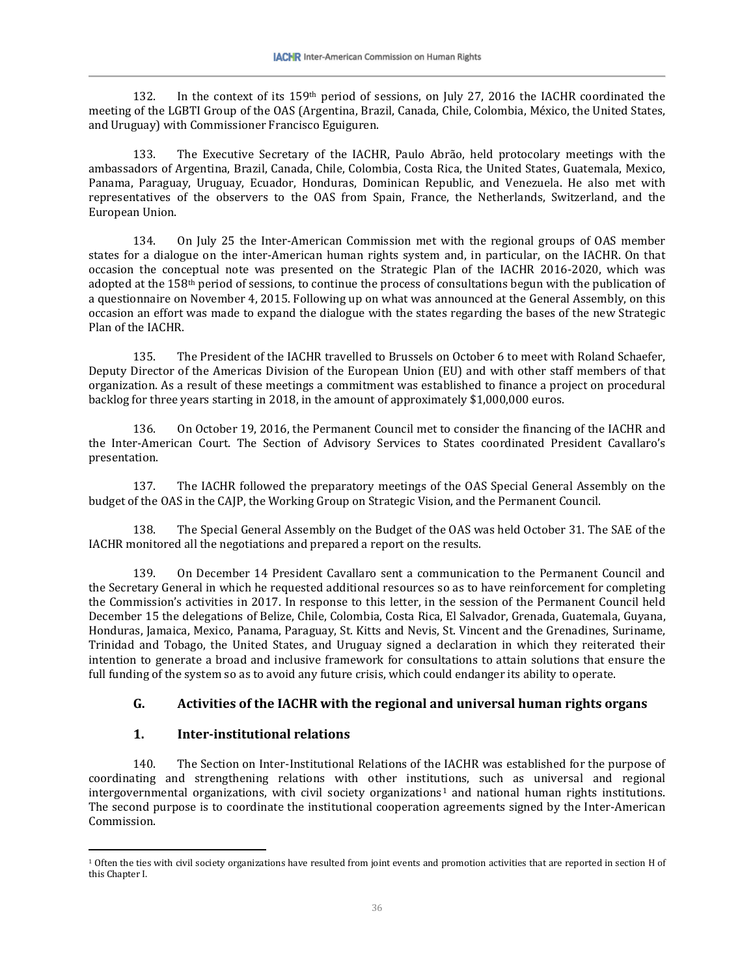132. In the context of its 159th period of sessions, on July 27, 2016 the IACHR coordinated the meeting of the LGBTI Group of the OAS (Argentina, Brazil, Canada, Chile, Colombia, México, the United States, and Uruguay) with Commissioner Francisco Eguiguren.

133. The Executive Secretary of the IACHR, Paulo Abrão, held protocolary meetings with the ambassadors of Argentina, Brazil, Canada, Chile, Colombia, Costa Rica, the United States, Guatemala, Mexico, Panama, Paraguay, Uruguay, Ecuador, Honduras, Dominican Republic, and Venezuela. He also met with representatives of the observers to the OAS from Spain, France, the Netherlands, Switzerland, and the European Union.

134. On July 25 the Inter-American Commission met with the regional groups of OAS member states for a dialogue on the inter-American human rights system and, in particular, on the IACHR. On that occasion the conceptual note was presented on the Strategic Plan of the IACHR 2016-2020, which was adopted at the 158th period of sessions, to continue the process of consultations begun with the publication of a questionnaire on November 4, 2015. Following up on what was announced at the General Assembly, on this occasion an effort was made to expand the dialogue with the states regarding the bases of the new Strategic Plan of the IACHR.

135. The President of the IACHR travelled to Brussels on October 6 to meet with Roland Schaefer, Deputy Director of the Americas Division of the European Union (EU) and with other staff members of that organization. As a result of these meetings a commitment was established to finance a project on procedural backlog for three years starting in 2018, in the amount of approximately \$1,000,000 euros.

136. On October 19, 2016, the Permanent Council met to consider the financing of the IACHR and the Inter-American Court. The Section of Advisory Services to States coordinated President Cavallaro's presentation.

137. The IACHR followed the preparatory meetings of the OAS Special General Assembly on the budget of the OAS in the CAJP, the Working Group on Strategic Vision, and the Permanent Council.

138. The Special General Assembly on the Budget of the OAS was held October 31. The SAE of the IACHR monitored all the negotiations and prepared a report on the results.

139. On December 14 President Cavallaro sent a communication to the Permanent Council and the Secretary General in which he requested additional resources so as to have reinforcement for completing the Commission's activities in 2017. In response to this letter, in the session of the Permanent Council held December 15 the delegations of Belize, Chile, Colombia, Costa Rica, El Salvador, Grenada, Guatemala, Guyana, Honduras, Jamaica, Mexico, Panama, Paraguay, St. Kitts and Nevis, St. Vincent and the Grenadines, Suriname, Trinidad and Tobago, the United States, and Uruguay signed a declaration in which they reiterated their intention to generate a broad and inclusive framework for consultations to attain solutions that ensure the full funding of the system so as to avoid any future crisis, which could endanger its ability to operate.

# **G. Activities of the IACHR with the regional and universal human rights organs**

# **1. Inter-institutional relations**

140. The Section on Inter-Institutional Relations of the IACHR was established for the purpose of coordinating and strengthening relations with other institu[ti](#page-21-0)ons, such as universal and regional intergovernmental organizations, with civil society organizations<sup>1</sup> and national human rights institutions. The second purpose is to coordinate the institutional cooperation agreements signed by the Inter-American Commission.

<span id="page-21-0"></span> $\overline{a}$ <sup>1</sup> Often the ties with civil society organizations have resulted from joint events and promotion activities that are reported in section H of this Chapter I.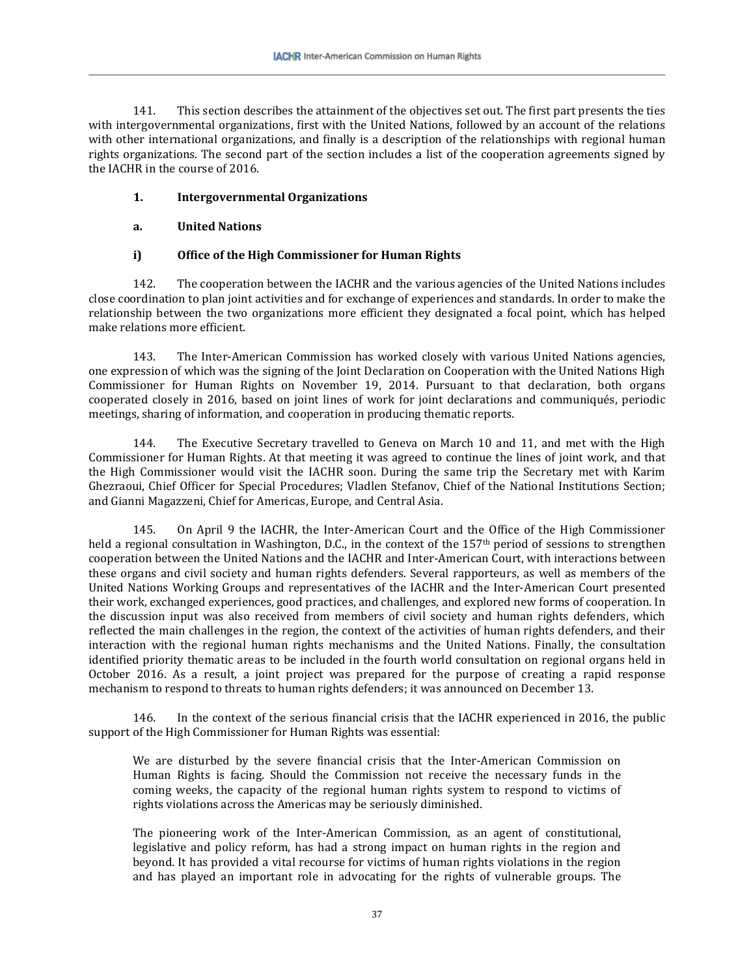141. This section describes the attainment of the objectives set out. The first part presents the ties with intergovernmental organizations, first with the United Nations, followed by an account of the relations with other international organizations, and finally is a description of the relationships with regional human rights organizations. The second part of the section includes a list of the cooperation agreements signed by the IACHR in the course of 2016.

### **1. Intergovernmental Organizations**

### **a. United Nations**

### **i) Office of the High Commissioner for Human Rights**

142. The cooperation between the IACHR and the various agencies of the United Nations includes close coordination to plan joint activities and for exchange of experiences and standards. In order to make the relationship between the two organizations more efficient they designated a focal point, which has helped make relations more efficient.

143. The Inter-American Commission has worked closely with various United Nations agencies, one expression of which was the signing of the Joint Declaration on Cooperation with the United Nations High Commissioner for Human Rights on November 19, 2014. Pursuant to that declaration, both organs cooperated closely in 2016, based on joint lines of work for joint declarations and communiqués, periodic meetings, sharing of information, and cooperation in producing thematic reports.

144. The Executive Secretary travelled to Geneva on March 10 and 11, and met with the High Commissioner for Human Rights. At that meeting it was agreed to continue the lines of joint work, and that the High Commissioner would visit the IACHR soon. During the same trip the Secretary met with Karim Ghezraoui, Chief Officer for Special Procedures; Vladlen Stefanov, Chief of the National Institutions Section; and Gianni Magazzeni, Chief for Americas, Europe, and Central Asia.

145. On April 9 the IACHR, the Inter-American Court and the Office of the High Commissioner held a regional consultation in Washington, D.C., in the context of the 157<sup>th</sup> period of sessions to strengthen cooperation between the United Nations and the IACHR and Inter-American Court, with interactions between these organs and civil society and human rights defenders. Several rapporteurs, as well as members of the United Nations Working Groups and representatives of the IACHR and the Inter-American Court presented their work, exchanged experiences, good practices, and challenges, and explored new forms of cooperation. In the discussion input was also received from members of civil society and human rights defenders, which reflected the main challenges in the region, the context of the activities of human rights defenders, and their interaction with the regional human rights mechanisms and the United Nations. Finally, the consultation identified priority thematic areas to be included in the fourth world consultation on regional organs held in October 2016. As a result, a joint project was prepared for the purpose of creating a rapid response mechanism to respond to threats to human rights defenders; it was announced on December 13.

146. In the context of the serious financial crisis that the IACHR experienced in 2016, the public support of the High Commissioner for Human Rights was essential:

We are disturbed by the severe financial crisis that the Inter-American Commission on Human Rights is facing. Should the Commission not receive the necessary funds in the coming weeks, the capacity of the regional human rights system to respond to victims of rights violations across the Americas may be seriously diminished.

The pioneering work of the Inter-American Commission, as an agent of constitutional, legislative and policy reform, has had a strong impact on human rights in the region and beyond. It has provided a vital recourse for victims of human rights violations in the region and has played an important role in advocating for the rights of vulnerable groups. The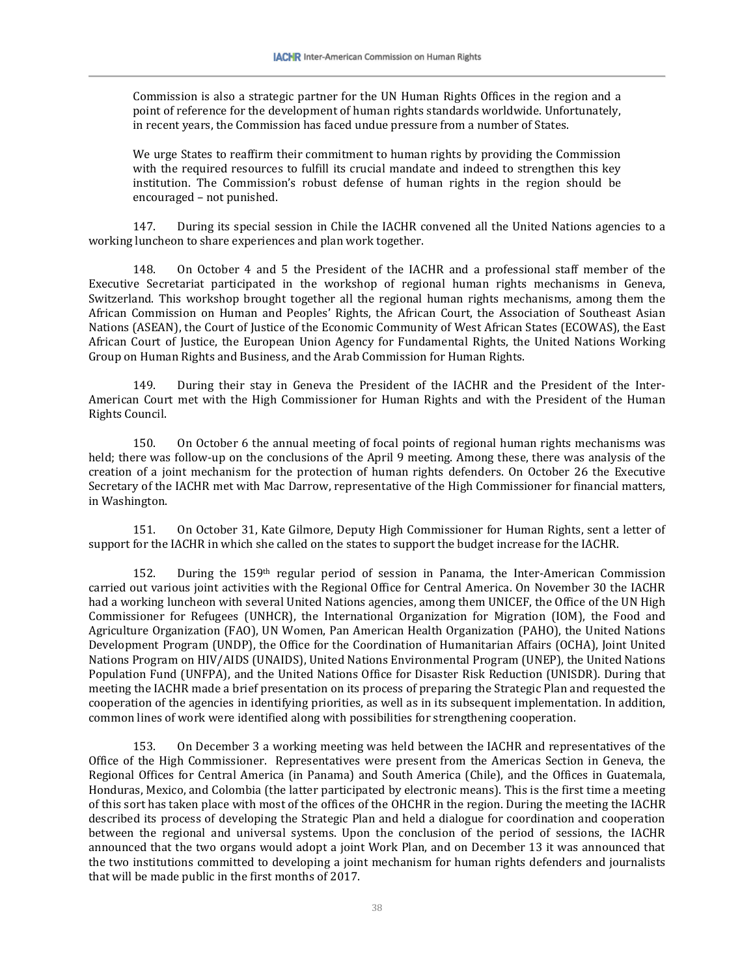Commission is also a strategic partner for the UN Human Rights Offices in the region and a point of reference for the development of human rights standards worldwide. Unfortunately, in recent years, the Commission has faced undue pressure from a number of States.

We urge States to reaffirm their commitment to human rights by providing the Commission with the required resources to fulfill its crucial mandate and indeed to strengthen this key institution. The Commission's robust defense of human rights in the region should be encouraged – not punished.

147. During its special session in Chile the IACHR convened all the United Nations agencies to a working luncheon to share experiences and plan work together.

148. On October 4 and 5 the President of the IACHR and a professional staff member of the Executive Secretariat participated in the workshop of regional human rights mechanisms in Geneva, Switzerland. This workshop brought together all the regional human rights mechanisms, among them the African Commission on Human and Peoples' Rights, the African Court, the Association of Southeast Asian Nations (ASEAN), the Court of Justice of the Economic Community of West African States (ECOWAS), the East African Court of Justice, the European Union Agency for Fundamental Rights, the United Nations Working Group on Human Rights and Business, and the Arab Commission for Human Rights.

149. During their stay in Geneva the President of the IACHR and the President of the Inter-American Court met with the High Commissioner for Human Rights and with the President of the Human Rights Council.

150. On October 6 the annual meeting of focal points of regional human rights mechanisms was held; there was follow-up on the conclusions of the April 9 meeting. Among these, there was analysis of the creation of a joint mechanism for the protection of human rights defenders. On October 26 the Executive Secretary of the IACHR met with Mac Darrow, representative of the High Commissioner for financial matters, in Washington.

151. On October 31, Kate Gilmore, Deputy High Commissioner for Human Rights, sent a letter of support for the IACHR in which she called on the states to support the budget increase for the IACHR.

152. During the 159th regular period of session in Panama, the Inter-American Commission carried out various joint activities with the Regional Office for Central America. On November 30 the IACHR had a working luncheon with several United Nations agencies, among them UNICEF, the Office of the UN High Commissioner for Refugees (UNHCR), the International Organization for Migration (IOM), the Food and Agriculture Organization (FAO), UN Women, Pan American Health Organization (PAHO), the United Nations Development Program (UNDP), the Office for the Coordination of Humanitarian Affairs (OCHA), Joint United Nations Program on HIV/AIDS (UNAIDS), United Nations Environmental Program (UNEP), the United Nations Population Fund (UNFPA), and the United Nations Office for Disaster Risk Reduction (UNISDR). During that meeting the IACHR made a brief presentation on its process of preparing the Strategic Plan and requested the cooperation of the agencies in identifying priorities, as well as in its subsequent implementation. In addition, common lines of work were identified along with possibilities for strengthening cooperation.

153. On December 3 a working meeting was held between the IACHR and representatives of the Office of the High Commissioner. Representatives were present from the Americas Section in Geneva, the Regional Offices for Central America (in Panama) and South America (Chile), and the Offices in Guatemala, Honduras, Mexico, and Colombia (the latter participated by electronic means). This is the first time a meeting of this sort has taken place with most of the offices of the OHCHR in the region. During the meeting the IACHR described its process of developing the Strategic Plan and held a dialogue for coordination and cooperation between the regional and universal systems. Upon the conclusion of the period of sessions, the IACHR announced that the two organs would adopt a joint Work Plan, and on December 13 it was announced that the two institutions committed to developing a joint mechanism for human rights defenders and journalists that will be made public in the first months of 2017.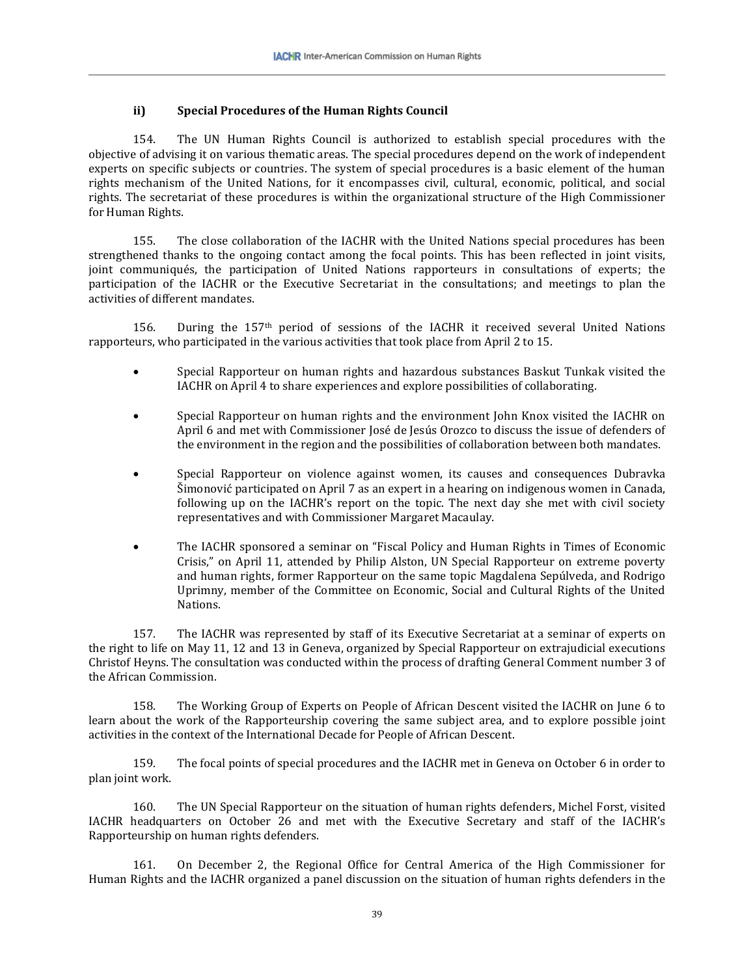#### **ii) Special Procedures of the Human Rights Council**

154. The UN Human Rights Council is authorized to establish special procedures with the objective of advising it on various thematic areas. The special procedures depend on the work of independent experts on specific subjects or countries. The system of special procedures is a basic element of the human rights mechanism of the United Nations, for it encompasses civil, cultural, economic, political, and social rights. The secretariat of these procedures is within the organizational structure of the High Commissioner for Human Rights.

155. The close collaboration of the IACHR with the United Nations special procedures has been strengthened thanks to the ongoing contact among the focal points. This has been reflected in joint visits, joint communiqués, the participation of United Nations rapporteurs in consultations of experts; the participation of the IACHR or the Executive Secretariat in the consultations; and meetings to plan the activities of different mandates.

156. During the 157<sup>th</sup> period of sessions of the IACHR it received several United Nations rapporteurs, who participated in the various activities that took place from April 2 to 15.

- Special Rapporteur on human rights and hazardous substances Baskut Tunkak visited the IACHR on April 4 to share experiences and explore possibilities of collaborating.
- Special Rapporteur on human rights and the environment John Knox visited the IACHR on April 6 and met with Commissioner José de Jesús Orozco to discuss the issue of defenders of the environment in the region and the possibilities of collaboration between both mandates.
- Special Rapporteur on violence against women, its causes and consequences Dubravka Šimonović participated on April 7 as an expert in a hearing on indigenous women in Canada, following up on the IACHR's report on the topic. The next day she met with civil society representatives and with Commissioner Margaret Macaulay.
- The IACHR sponsored a seminar on "Fiscal Policy and Human Rights in Times of Economic Crisis," on April 11, attended by Philip Alston, UN Special Rapporteur on extreme poverty and human rights, former Rapporteur on the same topic Magdalena Sepúlveda, and Rodrigo Uprimny, member of the Committee on Economic, Social and Cultural Rights of the United Nations.

157. The IACHR was represented by staff of its Executive Secretariat at a seminar of experts on the right to life on May 11, 12 and 13 in Geneva, organized by Special Rapporteur on extrajudicial executions Christof Heyns. The consultation was conducted within the process of drafting General Comment number 3 of the African Commission.

158. The Working Group of Experts on People of African Descent visited the IACHR on June 6 to learn about the work of the Rapporteurship covering the same subject area, and to explore possible joint activities in the context of the International Decade for People of African Descent.

159. The focal points of special procedures and the IACHR met in Geneva on October 6 in order to plan joint work.

160. The UN Special Rapporteur on the situation of human rights defenders, Michel Forst, visited IACHR headquarters on October 26 and met with the Executive Secretary and staff of the IACHR's Rapporteurship on human rights defenders.

161. On December 2, the Regional Office for Central America of the High Commissioner for Human Rights and the IACHR organized a panel discussion on the situation of human rights defenders in the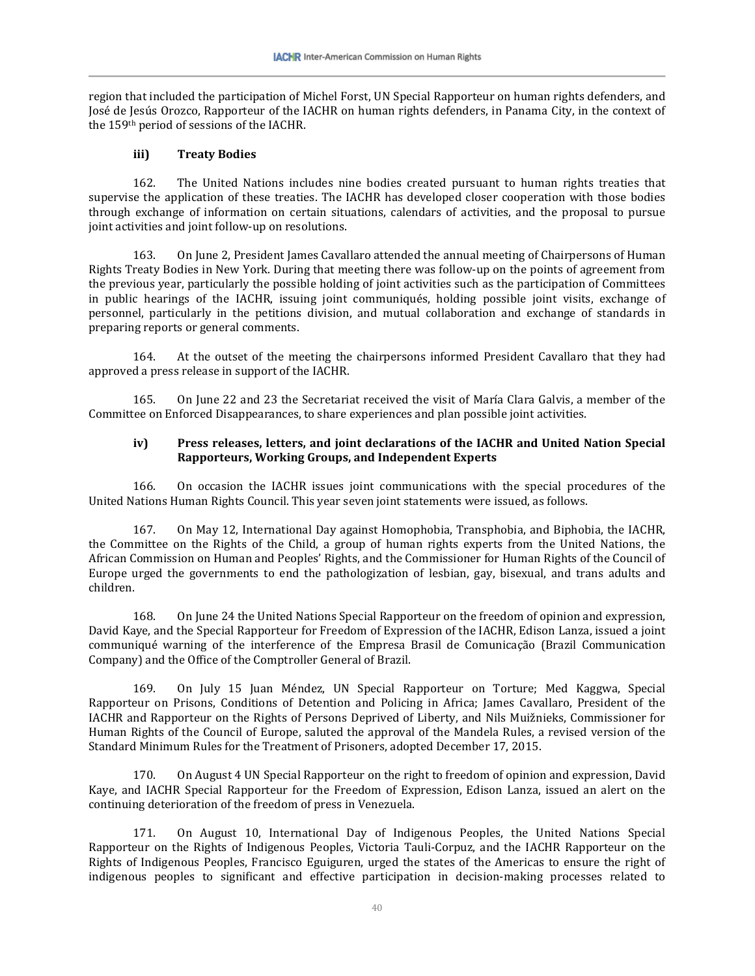region that included the participation of Michel Forst, UN Special Rapporteur on human rights defenders, and José de Jesús Orozco, Rapporteur of the IACHR on human rights defenders, in Panama City, in the context of the 159th period of sessions of the IACHR.

#### **iii) Treaty Bodies**

162. The United Nations includes nine bodies created pursuant to human rights treaties that supervise the application of these treaties. The IACHR has developed closer cooperation with those bodies through exchange of information on certain situations, calendars of activities, and the proposal to pursue joint activities and joint follow-up on resolutions.

163. On June 2, President James Cavallaro attended the annual meeting of Chairpersons of Human Rights Treaty Bodies in New York. During that meeting there was follow-up on the points of agreement from the previous year, particularly the possible holding of joint activities such as the participation of Committees in public hearings of the IACHR, issuing joint communiqués, holding possible joint visits, exchange of personnel, particularly in the petitions division, and mutual collaboration and exchange of standards in preparing reports or general comments.

164. At the outset of the meeting the chairpersons informed President Cavallaro that they had approved a press release in support of the IACHR.

165. On June 22 and 23 the Secretariat received the visit of María Clara Galvis, a member of the Committee on Enforced Disappearances, to share experiences and plan possible joint activities.

#### **iv) Press releases, letters, and joint declarations of the IACHR and United Nation Special Rapporteurs, Working Groups, and Independent Experts**

166. On occasion the IACHR issues joint communications with the special procedures of the United Nations Human Rights Council. This year seven joint statements were issued, as follows.

167. On May 12, International Day against Homophobia, Transphobia, and Biphobia, the IACHR, the Committee on the Rights of the Child, a group of human rights experts from the United Nations, the African Commission on Human and Peoples' Rights, and the Commissioner for Human Rights of the Council of Europe urged the governments to end the pathologization of lesbian, gay, bisexual, and trans adults and children.

168. On June 24 the United Nations Special Rapporteur on the freedom of opinion and expression, David Kaye, and the Special Rapporteur for Freedom of Expression of the IACHR, Edison Lanza, issued a joint communiqué warning of the interference of the Empresa Brasil de Comunicação (Brazil Communication Company) and the Office of the Comptroller General of Brazil.

169. On July 15 Juan Méndez, UN Special Rapporteur on Torture; Med Kaggwa, Special Rapporteur on Prisons, Conditions of Detention and Policing in Africa; James Cavallaro, President of the IACHR and Rapporteur on the Rights of Persons Deprived of Liberty, and Nils Muižnieks, Commissioner for Human Rights of the Council of Europe, saluted the approval of the Mandela Rules, a revised version of the Standard Minimum Rules for the Treatment of Prisoners, adopted December 17, 2015.

170. On August 4 UN Special Rapporteur on the right to freedom of opinion and expression, David Kaye, and IACHR Special Rapporteur for the Freedom of Expression, Edison Lanza, issued an alert on the continuing deterioration of the freedom of press in Venezuela.

171. On August 10, International Day of Indigenous Peoples, the United Nations Special Rapporteur on the Rights of Indigenous Peoples, Victoria Tauli-Corpuz, and the IACHR Rapporteur on the Rights of Indigenous Peoples, Francisco Eguiguren, urged the states of the Americas to ensure the right of indigenous peoples to significant and effective participation in decision-making processes related to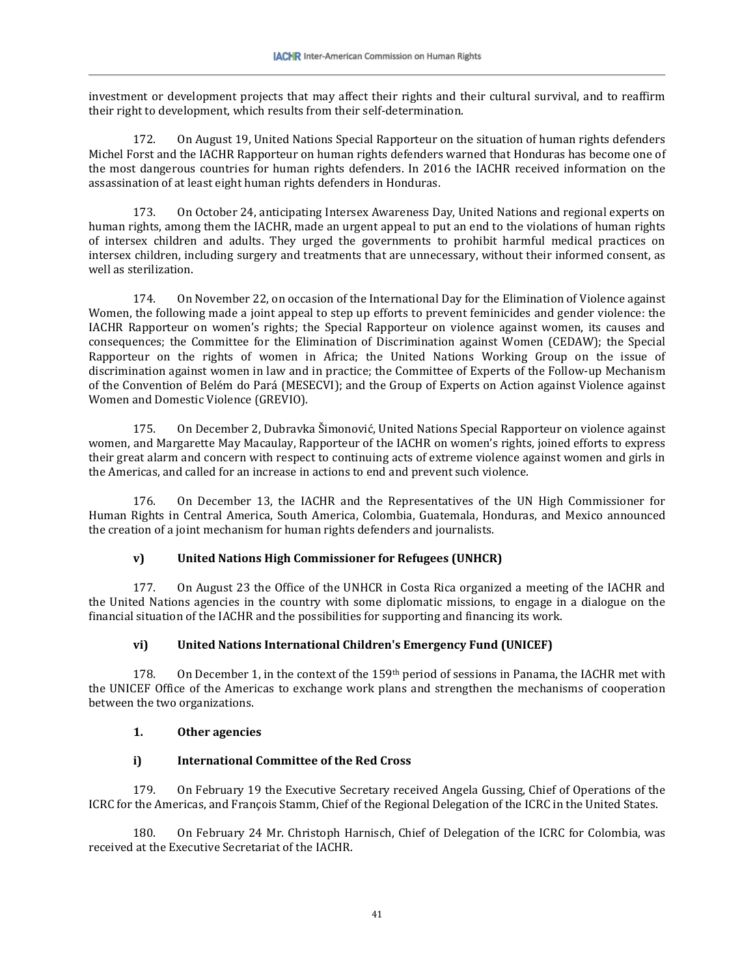investment or development projects that may affect their rights and their cultural survival, and to reaffirm their right to development, which results from their self-determination.

172. On August 19, United Nations Special Rapporteur on the situation of human rights defenders Michel Forst and the IACHR Rapporteur on human rights defenders warned that Honduras has become one of the most dangerous countries for human rights defenders. In 2016 the IACHR received information on the assassination of at least eight human rights defenders in Honduras.

173. On October 24, anticipating Intersex Awareness Day, United Nations and regional experts on human rights, among them the IACHR, made an urgent appeal to put an end to the violations of human rights of intersex children and adults. They urged the governments to prohibit harmful medical practices on intersex children, including surgery and treatments that are unnecessary, without their informed consent, as well as sterilization.

174. On November 22, on occasion of the International Day for the Elimination of Violence against Women, the following made a joint appeal to step up efforts to prevent feminicides and gender violence: the IACHR Rapporteur on women's rights; the Special Rapporteur on violence against women, its causes and consequences; the Committee for the Elimination of Discrimination against Women (CEDAW); the Special Rapporteur on the rights of women in Africa; the United Nations Working Group on the issue of discrimination against women in law and in practice; the Committee of Experts of the Follow-up Mechanism of the Convention of Belém do Pará (MESECVI); and the Group of Experts on Action against Violence against Women and Domestic Violence (GREVIO).

175. On December 2, Dubravka Šimonović, United Nations Special Rapporteur on violence against women, and Margarette May Macaulay, Rapporteur of the IACHR on women's rights, joined efforts to express their great alarm and concern with respect to continuing acts of extreme violence against women and girls in the Americas, and called for an increase in actions to end and prevent such violence.

176. On December 13, the IACHR and the Representatives of the UN High Commissioner for Human Rights in Central America, South America, Colombia, Guatemala, Honduras, and Mexico announced the creation of a joint mechanism for human rights defenders and journalists.

# **v) United Nations High Commissioner for Refugees (UNHCR)**

177. On August 23 the Office of the UNHCR in Costa Rica organized a meeting of the IACHR and the United Nations agencies in the country with some diplomatic missions, to engage in a dialogue on the financial situation of the IACHR and the possibilities for supporting and financing its work.

### **vi) United Nations International Children's Emergency Fund (UNICEF)**

178. On December 1, in the context of the 159<sup>th</sup> period of sessions in Panama, the IACHR met with the UNICEF Office of the Americas to exchange work plans and strengthen the mechanisms of cooperation between the two organizations.

### **1. Other agencies**

### **i) International Committee of the Red Cross**

179. On February 19 the Executive Secretary received Angela Gussing, Chief of Operations of the ICRC for the Americas, and François Stamm, Chief of the Regional Delegation of the ICRC in the United States.

180. On February 24 Mr. Christoph Harnisch, Chief of Delegation of the ICRC for Colombia, was received at the Executive Secretariat of the IACHR.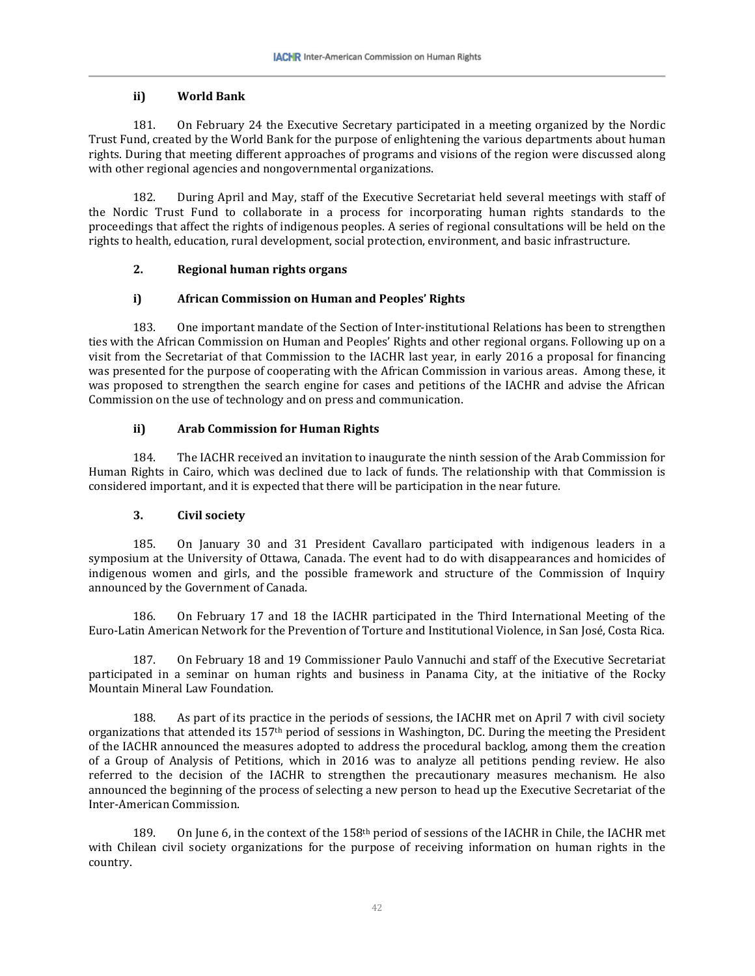### **ii) World Bank**

181. On February 24 the Executive Secretary participated in a meeting organized by the Nordic Trust Fund, created by the World Bank for the purpose of enlightening the various departments about human rights. During that meeting different approaches of programs and visions of the region were discussed along with other regional agencies and nongovernmental organizations.

182. During April and May, staff of the Executive Secretariat held several meetings with staff of the Nordic Trust Fund to collaborate in a process for incorporating human rights standards to the proceedings that affect the rights of indigenous peoples. A series of regional consultations will be held on the rights to health, education, rural development, social protection, environment, and basic infrastructure.

### **2. Regional human rights organs**

### **i) African Commission on Human and Peoples' Rights**

183. One important mandate of the Section of Inter-institutional Relations has been to strengthen ties with the African Commission on Human and Peoples' Rights and other regional organs. Following up on a visit from the Secretariat of that Commission to the IACHR last year, in early 2016 a proposal for financing was presented for the purpose of cooperating with the African Commission in various areas. Among these, it was proposed to strengthen the search engine for cases and petitions of the IACHR and advise the African Commission on the use of technology and on press and communication.

### **ii) Arab Commission for Human Rights**

184. The IACHR received an invitation to inaugurate the ninth session of the Arab Commission for Human Rights in Cairo, which was declined due to lack of funds. The relationship with that Commission is considered important, and it is expected that there will be participation in the near future.

# **3. Civil society**

185. On January 30 and 31 President Cavallaro participated with indigenous leaders in a symposium at the University of Ottawa, Canada. The event had to do with disappearances and homicides of indigenous women and girls, and the possible framework and structure of the Commission of Inquiry announced by the Government of Canada.

186. On February 17 and 18 the IACHR participated in the Third International Meeting of the Euro-Latin American Network for the Prevention of Torture and Institutional Violence, in San José, Costa Rica.

187. On February 18 and 19 Commissioner Paulo Vannuchi and staff of the Executive Secretariat participated in a seminar on human rights and business in Panama City, at the initiative of the Rocky Mountain Mineral Law Foundation.

188. As part of its practice in the periods of sessions, the IACHR met on April 7 with civil society organizations that attended its 157th period of sessions in Washington, DC. During the meeting the President of the IACHR announced the measures adopted to address the procedural backlog, among them the creation of a Group of Analysis of Petitions, which in 2016 was to analyze all petitions pending review. He also referred to the decision of the IACHR to strengthen the precautionary measures mechanism. He also announced the beginning of the process of selecting a new person to head up the Executive Secretariat of the Inter-American Commission.

189. On June 6, in the context of the 158th period of sessions of the IACHR in Chile, the IACHR met with Chilean civil society organizations for the purpose of receiving information on human rights in the country.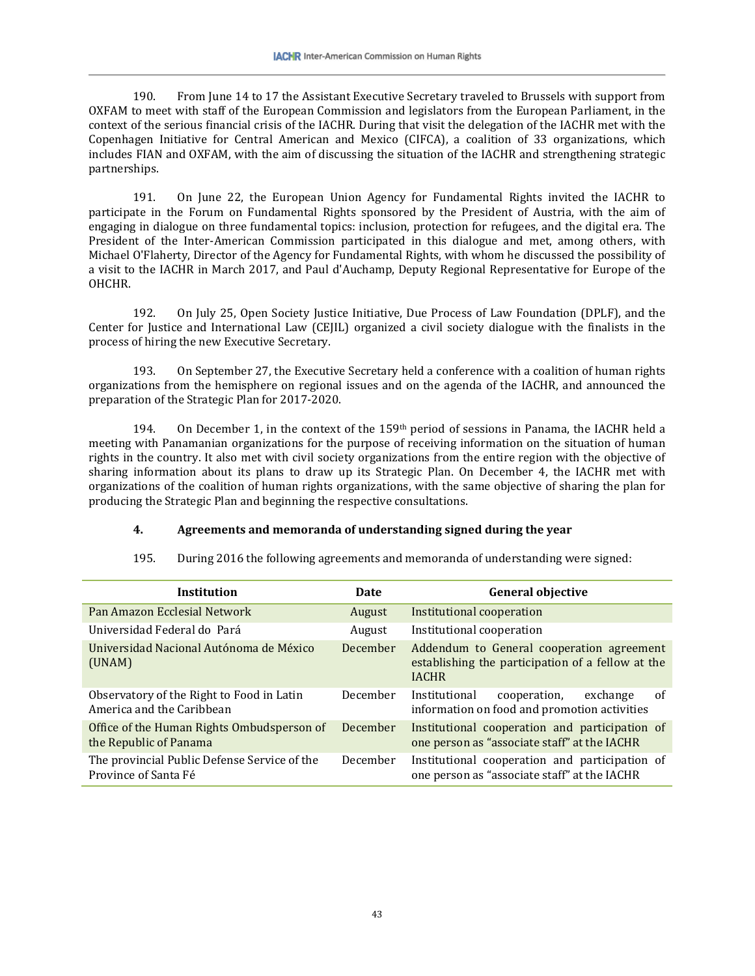190. From June 14 to 17 the Assistant Executive Secretary traveled to Brussels with support from OXFAM to meet with staff of the European Commission and legislators from the European Parliament, in the context of the serious financial crisis of the IACHR. During that visit the delegation of the IACHR met with the Copenhagen Initiative for Central American and Mexico (CIFCA), a coalition of 33 organizations, which includes FIAN and OXFAM, with the aim of discussing the situation of the IACHR and strengthening strategic partnerships.

191. On June 22, the European Union Agency for Fundamental Rights invited the IACHR to participate in the Forum on Fundamental Rights sponsored by the President of Austria, with the aim of engaging in dialogue on three fundamental topics: inclusion, protection for refugees, and the digital era. The President of the Inter-American Commission participated in this dialogue and met, among others, with Michael O'Flaherty, Director of the Agency for Fundamental Rights, with whom he discussed the possibility of a visit to the IACHR in March 2017, and Paul d'Auchamp, Deputy Regional Representative for Europe of the OHCHR.

192. On July 25, Open Society Justice Initiative, Due Process of Law Foundation (DPLF), and the Center for Justice and International Law (CEJIL) organized a civil society dialogue with the finalists in the process of hiring the new Executive Secretary.

193. On September 27, the Executive Secretary held a conference with a coalition of human rights organizations from the hemisphere on regional issues and on the agenda of the IACHR, and announced the preparation of the Strategic Plan for 2017-2020.

194. On December 1, in the context of the 159th period of sessions in Panama, the IACHR held a meeting with Panamanian organizations for the purpose of receiving information on the situation of human rights in the country. It also met with civil society organizations from the entire region with the objective of sharing information about its plans to draw up its Strategic Plan. On December 4, the IACHR met with organizations of the coalition of human rights organizations, with the same objective of sharing the plan for producing the Strategic Plan and beginning the respective consultations.

### **4. Agreements and memoranda of understanding signed during the year**

| <b>Institution</b>                                                     | Date            | <b>General objective</b>                                                                                       |
|------------------------------------------------------------------------|-----------------|----------------------------------------------------------------------------------------------------------------|
| Pan Amazon Ecclesial Network                                           | August          | Institutional cooperation                                                                                      |
| Universidad Federal do Pará                                            | August          | Institutional cooperation                                                                                      |
| Universidad Nacional Autónoma de México<br>(UNAM)                      | December        | Addendum to General cooperation agreement<br>establishing the participation of a fellow at the<br><b>IACHR</b> |
| Observatory of the Right to Food in Latin<br>America and the Caribbean | December        | exchange<br>of<br>Institutional<br>cooperation,<br>information on food and promotion activities                |
| Office of the Human Rights Ombudsperson of<br>the Republic of Panama   | <b>December</b> | Institutional cooperation and participation of<br>one person as "associate staff" at the IACHR                 |
| The provincial Public Defense Service of the<br>Province of Santa Fé   | December        | Institutional cooperation and participation of<br>one person as "associate staff" at the IACHR                 |

195. During 2016 the following agreements and memoranda of understanding were signed: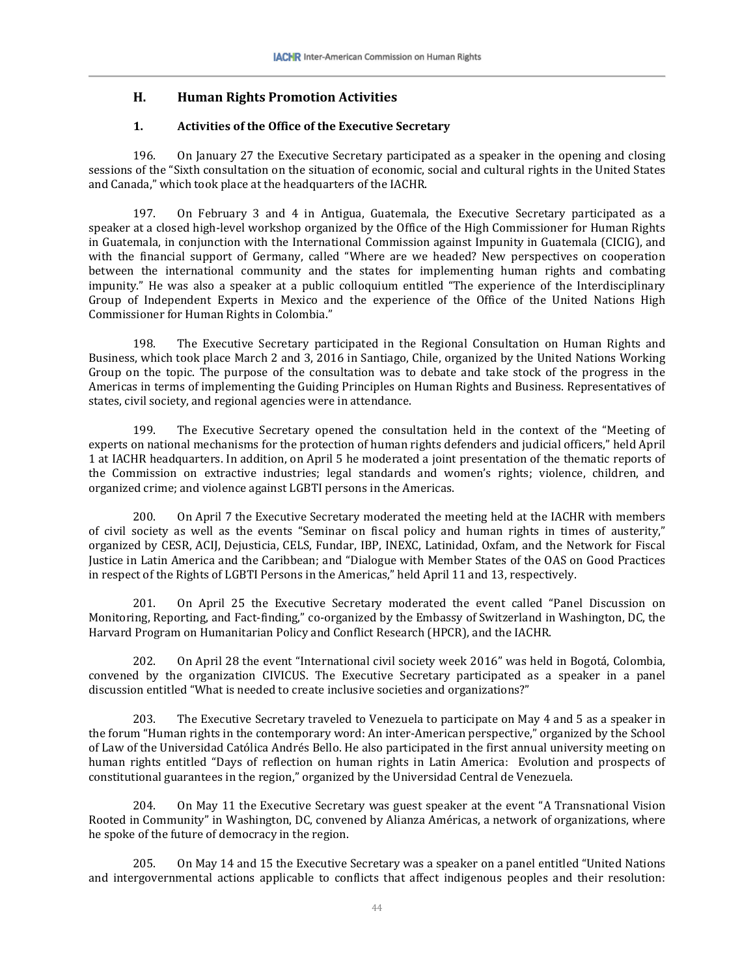### **H. Human Rights Promotion Activities**

#### **1. Activities of the Office of the Executive Secretary**

196. On January 27 the Executive Secretary participated as a speaker in the opening and closing sessions of the "Sixth consultation on the situation of economic, social and cultural rights in the United States and Canada," which took place at the headquarters of the IACHR.

197. On February 3 and 4 in Antigua, Guatemala, the Executive Secretary participated as a speaker at a closed high-level workshop organized by the Office of the High Commissioner for Human Rights in Guatemala, in conjunction with the International Commission against Impunity in Guatemala (CICIG), and with the financial support of Germany, called "Where are we headed? New perspectives on cooperation between the international community and the states for implementing human rights and combating impunity." He was also a speaker at a public colloquium entitled "The experience of the Interdisciplinary Group of Independent Experts in Mexico and the experience of the Office of the United Nations High Commissioner for Human Rights in Colombia."

198. The Executive Secretary participated in the Regional Consultation on Human Rights and Business, which took place March 2 and 3, 2016 in Santiago, Chile, organized by the United Nations Working Group on the topic. The purpose of the consultation was to debate and take stock of the progress in the Americas in terms of implementing the Guiding Principles on Human Rights and Business. Representatives of states, civil society, and regional agencies were in attendance.

199. The Executive Secretary opened the consultation held in the context of the "Meeting of experts on national mechanisms for the protection of human rights defenders and judicial officers," held April 1 at IACHR headquarters. In addition, on April 5 he moderated a joint presentation of the thematic reports of the Commission on extractive industries; legal standards and women's rights; violence, children, and organized crime; and violence against LGBTI persons in the Americas.

200. On April 7 the Executive Secretary moderated the meeting held at the IACHR with members of civil society as well as the events "Seminar on fiscal policy and human rights in times of austerity," organized by CESR, ACIJ, Dejusticia, CELS, Fundar, IBP, INEXC, Latinidad, Oxfam, and the Network for Fiscal Justice in Latin America and the Caribbean; and "Dialogue with Member States of the OAS on Good Practices in respect of the Rights of LGBTI Persons in the Americas," held April 11 and 13, respectively.

201. On April 25 the Executive Secretary moderated the event called "Panel Discussion on Monitoring, Reporting, and Fact-finding," co-organized by the Embassy of Switzerland in Washington, DC, the Harvard Program on Humanitarian Policy and Conflict Research (HPCR), and the IACHR.

202. On April 28 the event "International civil society week 2016" was held in Bogotá, Colombia, convened by the organization CIVICUS. The Executive Secretary participated as a speaker in a panel discussion entitled "What is needed to create inclusive societies and organizations?"

203. The Executive Secretary traveled to Venezuela to participate on May 4 and 5 as a speaker in the forum "Human rights in the contemporary word: An inter-American perspective," organized by the School of Law of the Universidad Católica Andrés Bello. He also participated in the first annual university meeting on human rights entitled "Days of reflection on human rights in Latin America: Evolution and prospects of constitutional guarantees in the region," organized by the Universidad Central de Venezuela.

204. On May 11 the Executive Secretary was guest speaker at the event "A Transnational Vision Rooted in Community" in Washington, DC, convened by Alianza Américas, a network of organizations, where he spoke of the future of democracy in the region.

205. On May 14 and 15 the Executive Secretary was a speaker on a panel entitled "United Nations and intergovernmental actions applicable to conflicts that affect indigenous peoples and their resolution: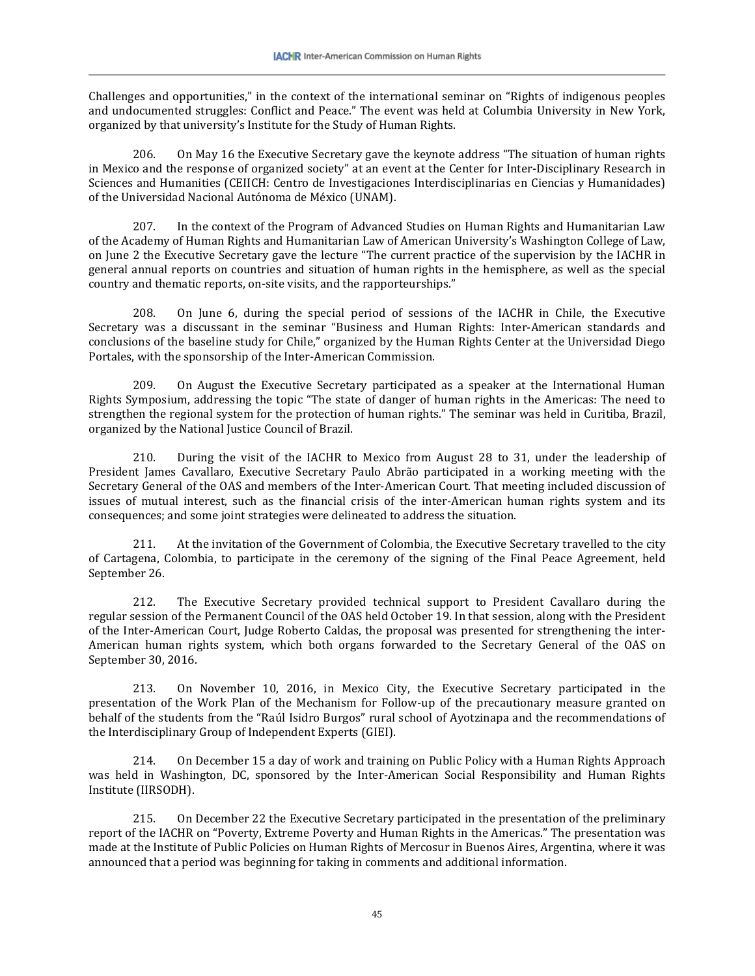Challenges and opportunities," in the context of the international seminar on "Rights of indigenous peoples and undocumented struggles: Conflict and Peace." The event was held at Columbia University in New York, organized by that university's Institute for the Study of Human Rights.

206. On May 16 the Executive Secretary gave the keynote address "The situation of human rights in Mexico and the response of organized society" at an event at the Center for Inter-Disciplinary Research in Sciences and Humanities (CEIICH: Centro de Investigaciones Interdisciplinarias en Ciencias y Humanidades) of the Universidad Nacional Autónoma de México (UNAM).

207. In the context of the Program of Advanced Studies on Human Rights and Humanitarian Law of the Academy of Human Rights and Humanitarian Law of American University's Washington College of Law, on June 2 the Executive Secretary gave the lecture "The current practice of the supervision by the IACHR in general annual reports on countries and situation of human rights in the hemisphere, as well as the special country and thematic reports, on-site visits, and the rapporteurships."

208. On June 6, during the special period of sessions of the IACHR in Chile, the Executive Secretary was a discussant in the seminar "Business and Human Rights: Inter-American standards and conclusions of the baseline study for Chile," organized by the Human Rights Center at the Universidad Diego Portales, with the sponsorship of the Inter-American Commission.

209. On August the Executive Secretary participated as a speaker at the International Human Rights Symposium, addressing the topic "The state of danger of human rights in the Americas: The need to strengthen the regional system for the protection of human rights." The seminar was held in Curitiba, Brazil, organized by the National Justice Council of Brazil.

210. During the visit of the IACHR to Mexico from August 28 to 31, under the leadership of President James Cavallaro, Executive Secretary Paulo Abrão participated in a working meeting with the Secretary General of the OAS and members of the Inter-American Court. That meeting included discussion of issues of mutual interest, such as the financial crisis of the inter-American human rights system and its consequences; and some joint strategies were delineated to address the situation.

211. At the invitation of the Government of Colombia, the Executive Secretary travelled to the city of Cartagena, Colombia, to participate in the ceremony of the signing of the Final Peace Agreement, held September 26.

212. The Executive Secretary provided technical support to President Cavallaro during the regular session of the Permanent Council of the OAS held October 19. In that session, along with the President of the Inter-American Court, Judge Roberto Caldas, the proposal was presented for strengthening the inter-American human rights system, which both organs forwarded to the Secretary General of the OAS on September 30, 2016.

213. On November 10, 2016, in Mexico City, the Executive Secretary participated in the presentation of the Work Plan of the Mechanism for Follow-up of the precautionary measure granted on behalf of the students from the "Raúl Isidro Burgos" rural school of Ayotzinapa and the recommendations of the Interdisciplinary Group of Independent Experts (GIEI).

214. On December 15 a day of work and training on Public Policy with a Human Rights Approach was held in Washington, DC, sponsored by the Inter-American Social Responsibility and Human Rights Institute (IIRSODH).

215. On December 22 the Executive Secretary participated in the presentation of the preliminary report of the IACHR on "Poverty, Extreme Poverty and Human Rights in the Americas." The presentation was made at the Institute of Public Policies on Human Rights of Mercosur in Buenos Aires, Argentina, where it was announced that a period was beginning for taking in comments and additional information.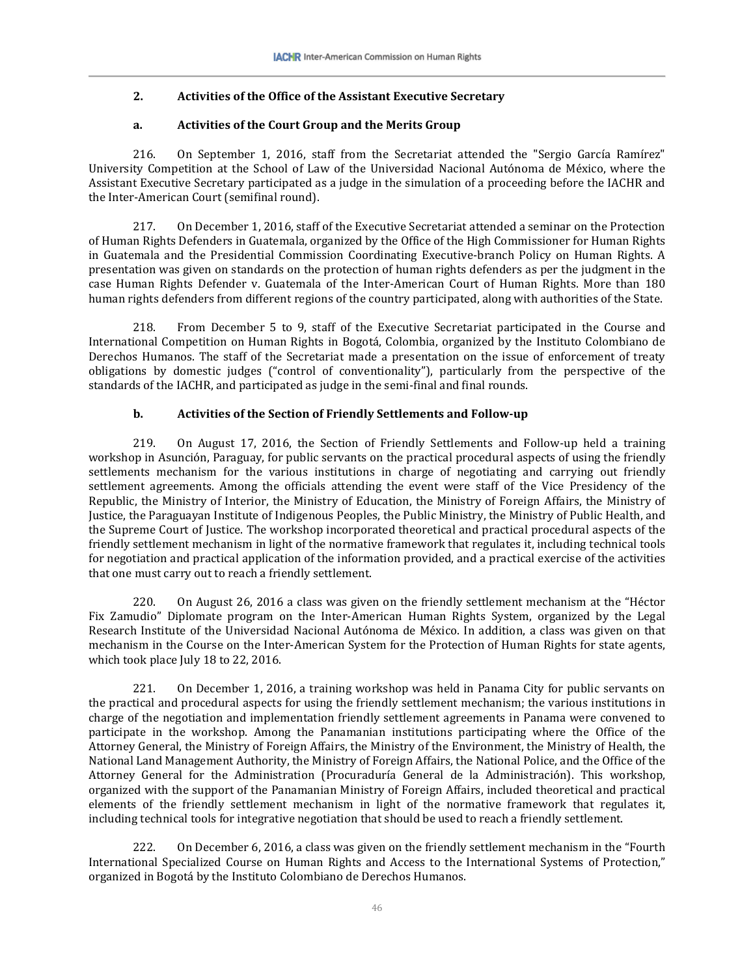### **2. Activities of the Office of the Assistant Executive Secretary**

#### **a. Activities of the Court Group and the Merits Group**

216. On September 1, 2016, staff from the Secretariat attended the "Sergio García Ramírez" University Competition at the School of Law of the Universidad Nacional Autónoma de México, where the Assistant Executive Secretary participated as a judge in the simulation of a proceeding before the IACHR and the Inter-American Court (semifinal round).

217. On December 1, 2016, staff of the Executive Secretariat attended a seminar on the Protection of Human Rights Defenders in Guatemala, organized by the Office of the High Commissioner for Human Rights in Guatemala and the Presidential Commission Coordinating Executive-branch Policy on Human Rights. A presentation was given on standards on the protection of human rights defenders as per the judgment in the case Human Rights Defender v. Guatemala of the Inter-American Court of Human Rights. More than 180 human rights defenders from different regions of the country participated, along with authorities of the State.

218. From December 5 to 9, staff of the Executive Secretariat participated in the Course and International Competition on Human Rights in Bogotá, Colombia, organized by the Instituto Colombiano de Derechos Humanos. The staff of the Secretariat made a presentation on the issue of enforcement of treaty obligations by domestic judges ("control of conventionality"), particularly from the perspective of the standards of the IACHR, and participated as judge in the semi-final and final rounds.

#### **b. Activities of the Section of Friendly Settlements and Follow-up**

219. On August 17, 2016, the Section of Friendly Settlements and Follow-up held a training workshop in Asunción, Paraguay, for public servants on the practical procedural aspects of using the friendly settlements mechanism for the various institutions in charge of negotiating and carrying out friendly settlement agreements. Among the officials attending the event were staff of the Vice Presidency of the Republic, the Ministry of Interior, the Ministry of Education, the Ministry of Foreign Affairs, the Ministry of Justice, the Paraguayan Institute of Indigenous Peoples, the Public Ministry, the Ministry of Public Health, and the Supreme Court of Justice. The workshop incorporated theoretical and practical procedural aspects of the friendly settlement mechanism in light of the normative framework that regulates it, including technical tools for negotiation and practical application of the information provided, and a practical exercise of the activities that one must carry out to reach a friendly settlement.

220. On August 26, 2016 a class was given on the friendly settlement mechanism at the "Héctor Fix Zamudio" Diplomate program on the Inter-American Human Rights System, organized by the Legal Research Institute of the Universidad Nacional Autónoma de México. In addition, a class was given on that mechanism in the Course on the Inter-American System for the Protection of Human Rights for state agents, which took place July 18 to 22, 2016.

221. On December 1, 2016, a training workshop was held in Panama City for public servants on the practical and procedural aspects for using the friendly settlement mechanism; the various institutions in charge of the negotiation and implementation friendly settlement agreements in Panama were convened to participate in the workshop. Among the Panamanian institutions participating where the Office of the Attorney General, the Ministry of Foreign Affairs, the Ministry of the Environment, the Ministry of Health, the National Land Management Authority, the Ministry of Foreign Affairs, the National Police, and the Office of the Attorney General for the Administration (Procuraduría General de la Administración). This workshop, organized with the support of the Panamanian Ministry of Foreign Affairs, included theoretical and practical elements of the friendly settlement mechanism in light of the normative framework that regulates it, including technical tools for integrative negotiation that should be used to reach a friendly settlement.

222. On December 6, 2016, a class was given on the friendly settlement mechanism in the "Fourth International Specialized Course on Human Rights and Access to the International Systems of Protection," organized in Bogotá by the Instituto Colombiano de Derechos Humanos.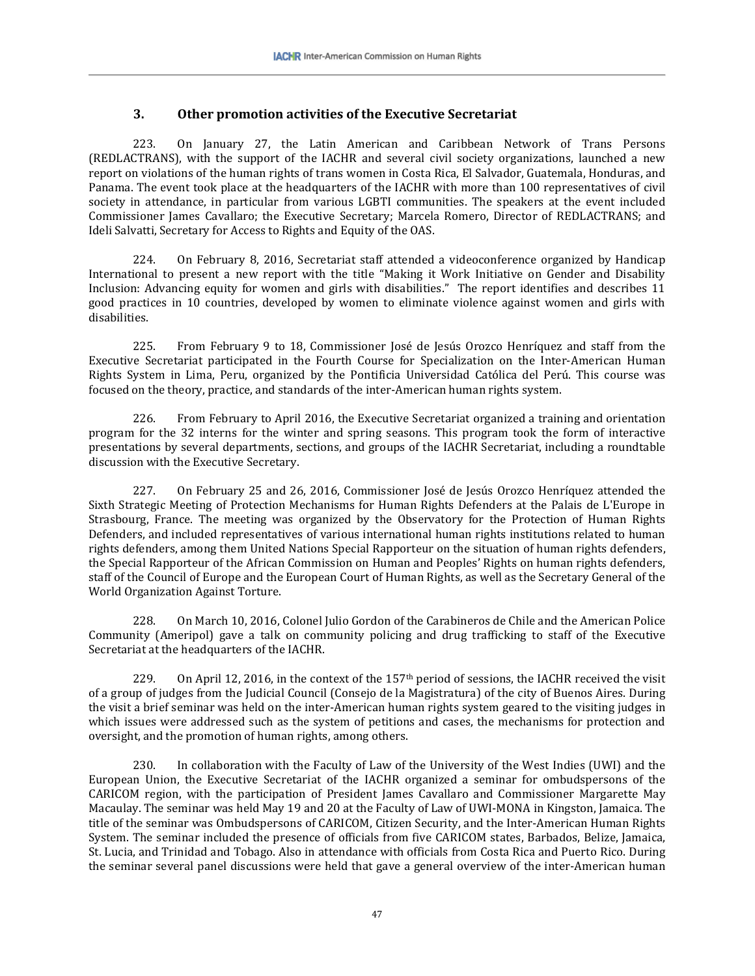# **3. Other promotion activities of the Executive Secretariat**

223. On January 27, the Latin American and Caribbean Network of Trans Persons (REDLACTRANS), with the support of the IACHR and several civil society organizations, launched a new report on violations of the human rights of trans women in Costa Rica, El Salvador, Guatemala, Honduras, and Panama. The event took place at the headquarters of the IACHR with more than 100 representatives of civil society in attendance, in particular from various LGBTI communities. The speakers at the event included Commissioner James Cavallaro; the Executive Secretary; Marcela Romero, Director of REDLACTRANS; and Ideli Salvatti, Secretary for Access to Rights and Equity of the OAS.

224. On February 8, 2016, Secretariat staff attended a videoconference organized by Handicap International to present a new report with the title "Making it Work Initiative on Gender and Disability Inclusion: Advancing equity for women and girls with disabilities." The report identifies and describes 11 good practices in 10 countries, developed by women to eliminate violence against women and girls with disabilities.

225. From February 9 to 18, Commissioner José de Jesús Orozco Henríquez and staff from the Executive Secretariat participated in the Fourth Course for Specialization on the Inter-American Human Rights System in Lima, Peru, organized by the Pontificia Universidad Católica del Perú. This course was focused on the theory, practice, and standards of the inter-American human rights system.

226. From February to April 2016, the Executive Secretariat organized a training and orientation program for the 32 interns for the winter and spring seasons. This program took the form of interactive presentations by several departments, sections, and groups of the IACHR Secretariat, including a roundtable discussion with the Executive Secretary.

227. On February 25 and 26, 2016, Commissioner José de Jesús Orozco Henríquez attended the Sixth Strategic Meeting of Protection Mechanisms for Human Rights Defenders at the Palais de L'Europe in Strasbourg, France. The meeting was organized by the Observatory for the Protection of Human Rights Defenders, and included representatives of various international human rights institutions related to human rights defenders, among them United Nations Special Rapporteur on the situation of human rights defenders, the Special Rapporteur of the African Commission on Human and Peoples' Rights on human rights defenders, staff of the Council of Europe and the European Court of Human Rights, as well as the Secretary General of the World Organization Against Torture.

228. On March 10, 2016, Colonel Julio Gordon of the Carabineros de Chile and the American Police Community (Ameripol) gave a talk on community policing and drug trafficking to staff of the Executive Secretariat at the headquarters of the IACHR.

229. On April 12, 2016, in the context of the 157<sup>th</sup> period of sessions, the IACHR received the visit of a group of judges from the Judicial Council (Consejo de la Magistratura) of the city of Buenos Aires. During the visit a brief seminar was held on the inter-American human rights system geared to the visiting judges in which issues were addressed such as the system of petitions and cases, the mechanisms for protection and oversight, and the promotion of human rights, among others.

230. In collaboration with the Faculty of Law of the University of the West Indies (UWI) and the European Union, the Executive Secretariat of the IACHR organized a seminar for ombudspersons of the CARICOM region, with the participation of President James Cavallaro and Commissioner Margarette May Macaulay. The seminar was held May 19 and 20 at the Faculty of Law of UWI-MONA in Kingston, Jamaica. The title of the seminar was Ombudspersons of CARICOM, Citizen Security, and the Inter-American Human Rights System. The seminar included the presence of officials from five CARICOM states, Barbados, Belize, Jamaica, St. Lucia, and Trinidad and Tobago. Also in attendance with officials from Costa Rica and Puerto Rico. During the seminar several panel discussions were held that gave a general overview of the inter-American human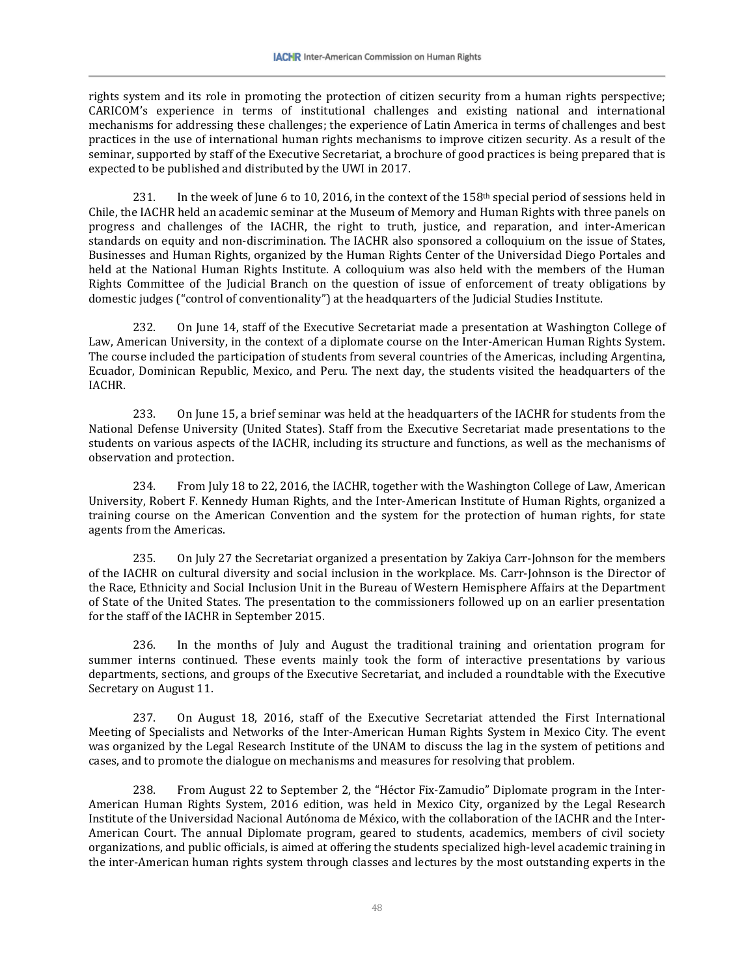rights system and its role in promoting the protection of citizen security from a human rights perspective; CARICOM's experience in terms of institutional challenges and existing national and international mechanisms for addressing these challenges; the experience of Latin America in terms of challenges and best practices in the use of international human rights mechanisms to improve citizen security. As a result of the seminar, supported by staff of the Executive Secretariat, a brochure of good practices is being prepared that is expected to be published and distributed by the UWI in 2017.

231. In the week of June 6 to 10, 2016, in the context of the 158<sup>th</sup> special period of sessions held in Chile, the IACHR held an academic seminar at the Museum of Memory and Human Rights with three panels on progress and challenges of the IACHR, the right to truth, justice, and reparation, and inter-American standards on equity and non-discrimination. The IACHR also sponsored a colloquium on the issue of States, Businesses and Human Rights, organized by the Human Rights Center of the Universidad Diego Portales and held at the National Human Rights Institute. A colloquium was also held with the members of the Human Rights Committee of the Judicial Branch on the question of issue of enforcement of treaty obligations by domestic judges ("control of conventionality") at the headquarters of the Judicial Studies Institute.

232. On June 14, staff of the Executive Secretariat made a presentation at Washington College of Law, American University, in the context of a diplomate course on the Inter-American Human Rights System. The course included the participation of students from several countries of the Americas, including Argentina, Ecuador, Dominican Republic, Mexico, and Peru. The next day, the students visited the headquarters of the IACHR.

233. On June 15, a brief seminar was held at the headquarters of the IACHR for students from the National Defense University (United States). Staff from the Executive Secretariat made presentations to the students on various aspects of the IACHR, including its structure and functions, as well as the mechanisms of observation and protection.

234. From July 18 to 22, 2016, the IACHR, together with the Washington College of Law, American University, Robert F. Kennedy Human Rights, and the Inter-American Institute of Human Rights, organized a training course on the American Convention and the system for the protection of human rights, for state agents from the Americas.

235. On July 27 the Secretariat organized a presentation by Zakiya Carr-Johnson for the members of the IACHR on cultural diversity and social inclusion in the workplace. Ms. Carr-Johnson is the Director of the Race, Ethnicity and Social Inclusion Unit in the Bureau of Western Hemisphere Affairs at the Department of State of the United States. The presentation to the commissioners followed up on an earlier presentation for the staff of the IACHR in September 2015.

236. In the months of July and August the traditional training and orientation program for summer interns continued. These events mainly took the form of interactive presentations by various departments, sections, and groups of the Executive Secretariat, and included a roundtable with the Executive Secretary on August 11.

237. On August 18, 2016, staff of the Executive Secretariat attended the First International Meeting of Specialists and Networks of the Inter-American Human Rights System in Mexico City. The event was organized by the Legal Research Institute of the UNAM to discuss the lag in the system of petitions and cases, and to promote the dialogue on mechanisms and measures for resolving that problem.

238. From August 22 to September 2, the "Héctor Fix-Zamudio" Diplomate program in the Inter-American Human Rights System, 2016 edition, was held in Mexico City, organized by the Legal Research Institute of the Universidad Nacional Autónoma de México, with the collaboration of the IACHR and the Inter-American Court. The annual Diplomate program, geared to students, academics, members of civil society organizations, and public officials, is aimed at offering the students specialized high-level academic training in the inter-American human rights system through classes and lectures by the most outstanding experts in the